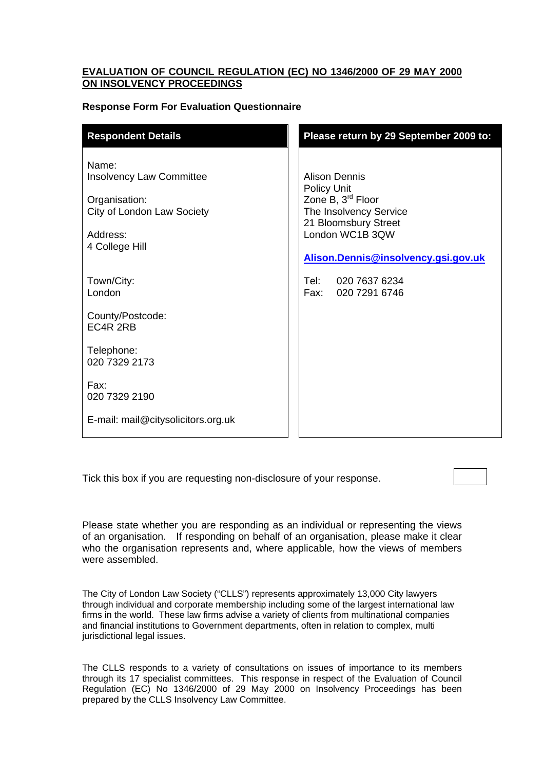## **EVALUATION OF COUNCIL REGULATION (EC) NO 1346/2000 OF 29 MAY 2000 ON INSOLVENCY PROCEEDINGS**

# **Response Form For Evaluation Questionnaire**

| <b>Respondent Details</b>                                                                                             | Please return by 29 September 2009 to:                                                                                                                                                   |
|-----------------------------------------------------------------------------------------------------------------------|------------------------------------------------------------------------------------------------------------------------------------------------------------------------------------------|
| Name:<br><b>Insolvency Law Committee</b><br>Organisation:<br>City of London Law Society<br>Address:<br>4 College Hill | <b>Alison Dennis</b><br><b>Policy Unit</b><br>Zone B, 3 <sup>rd</sup> Floor<br>The Insolvency Service<br>21 Bloomsbury Street<br>London WC1B 3QW<br>Alison. Dennis@insolvency.gsi.gov.uk |
| Town/City:<br>London                                                                                                  | Tel: 020 7637 6234<br>Fax: 020 7291 6746                                                                                                                                                 |
| County/Postcode:<br>EC4R 2RB                                                                                          |                                                                                                                                                                                          |
| Telephone:<br>020 7329 2173                                                                                           |                                                                                                                                                                                          |
| Fax:<br>020 7329 2190                                                                                                 |                                                                                                                                                                                          |
| E-mail: mail@citysolicitors.org.uk                                                                                    |                                                                                                                                                                                          |

Tick this box if you are requesting non-disclosure of your response.

Please state whether you are responding as an individual or representing the views of an organisation. If responding on behalf of an organisation, please make it clear who the organisation represents and, where applicable, how the views of members were assembled.

The City of London Law Society ("CLLS") represents approximately 13,000 City lawyers through individual and corporate membership including some of the largest international law firms in the world. These law firms advise a variety of clients from multinational companies and financial institutions to Government departments, often in relation to complex, multi jurisdictional legal issues.

The CLLS responds to a variety of consultations on issues of importance to its members through its 17 specialist committees. This response in respect of the Evaluation of Council Regulation (EC) No 1346/2000 of 29 May 2000 on Insolvency Proceedings has been prepared by the CLLS Insolvency Law Committee.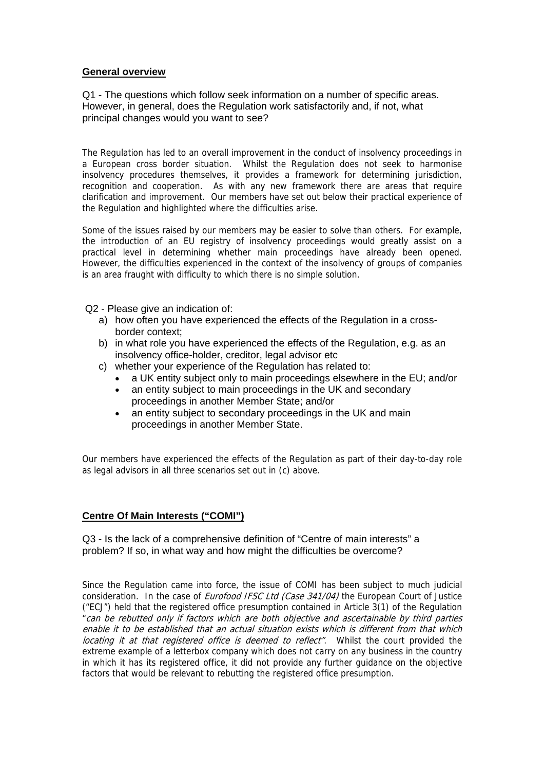## **General overview**

Q1 - The questions which follow seek information on a number of specific areas. However, in general, does the Regulation work satisfactorily and, if not, what principal changes would you want to see?

The Regulation has led to an overall improvement in the conduct of insolvency proceedings in a European cross border situation. Whilst the Regulation does not seek to harmonise insolvency procedures themselves, it provides a framework for determining jurisdiction, recognition and cooperation. As with any new framework there are areas that require clarification and improvement. Our members have set out below their practical experience of the Regulation and highlighted where the difficulties arise.

Some of the issues raised by our members may be easier to solve than others. For example, the introduction of an EU registry of insolvency proceedings would greatly assist on a practical level in determining whether main proceedings have already been opened. However, the difficulties experienced in the context of the insolvency of groups of companies is an area fraught with difficulty to which there is no simple solution.

Q2 - Please give an indication of:

- a) how often you have experienced the effects of the Regulation in a crossborder context;
- b) in what role you have experienced the effects of the Regulation, e.g. as an insolvency office-holder, creditor, legal advisor etc
- c) whether your experience of the Regulation has related to:
	- a UK entity subject only to main proceedings elsewhere in the EU; and/or
	- an entity subject to main proceedings in the UK and secondary proceedings in another Member State; and/or
	- an entity subject to secondary proceedings in the UK and main proceedings in another Member State.

Our members have experienced the effects of the Regulation as part of their day-to-day role as legal advisors in all three scenarios set out in (c) above.

# **Centre Of Main Interests ("COMI")**

Q3 - Is the lack of a comprehensive definition of "Centre of main interests" a problem? If so, in what way and how might the difficulties be overcome?

Since the Regulation came into force, the issue of COMI has been subject to much judicial consideration. In the case of *Eurofood IFSC Ltd (Case 341/04)* the European Court of Justice ("ECJ") held that the registered office presumption contained in Article 3(1) of the Regulation "can be rebutted only if factors which are both objective and ascertainable by third parties enable it to be established that an actual situation exists which is different from that which locating it at that registered office is deemed to reflect". Whilst the court provided the extreme example of a letterbox company which does not carry on any business in the country in which it has its registered office, it did not provide any further guidance on the objective factors that would be relevant to rebutting the registered office presumption.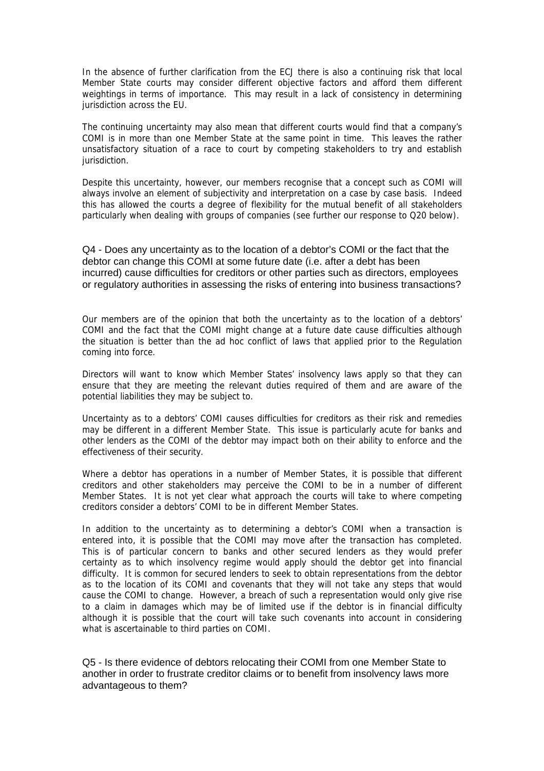In the absence of further clarification from the ECJ there is also a continuing risk that local Member State courts may consider different objective factors and afford them different weightings in terms of importance. This may result in a lack of consistency in determining jurisdiction across the EU.

The continuing uncertainty may also mean that different courts would find that a company's COMI is in more than one Member State at the same point in time. This leaves the rather unsatisfactory situation of a race to court by competing stakeholders to try and establish jurisdiction.

Despite this uncertainty, however, our members recognise that a concept such as COMI will always involve an element of subjectivity and interpretation on a case by case basis. Indeed this has allowed the courts a degree of flexibility for the mutual benefit of all stakeholders particularly when dealing with groups of companies (see further our response to Q20 below).

Q4 - Does any uncertainty as to the location of a debtor's COMI or the fact that the debtor can change this COMI at some future date (i.e. after a debt has been incurred) cause difficulties for creditors or other parties such as directors, employees or regulatory authorities in assessing the risks of entering into business transactions?

Our members are of the opinion that both the uncertainty as to the location of a debtors' COMI and the fact that the COMI might change at a future date cause difficulties although the situation is better than the ad hoc conflict of laws that applied prior to the Regulation coming into force.

Directors will want to know which Member States' insolvency laws apply so that they can ensure that they are meeting the relevant duties required of them and are aware of the potential liabilities they may be subject to.

Uncertainty as to a debtors' COMI causes difficulties for creditors as their risk and remedies may be different in a different Member State. This issue is particularly acute for banks and other lenders as the COMI of the debtor may impact both on their ability to enforce and the effectiveness of their security.

Where a debtor has operations in a number of Member States, it is possible that different creditors and other stakeholders may perceive the COMI to be in a number of different Member States. It is not yet clear what approach the courts will take to where competing creditors consider a debtors' COMI to be in different Member States.

In addition to the uncertainty as to determining a debtor's COMI when a transaction is entered into, it is possible that the COMI may move after the transaction has completed. This is of particular concern to banks and other secured lenders as they would prefer certainty as to which insolvency regime would apply should the debtor get into financial difficulty. It is common for secured lenders to seek to obtain representations from the debtor as to the location of its COMI and covenants that they will not take any steps that would cause the COMI to change. However, a breach of such a representation would only give rise to a claim in damages which may be of limited use if the debtor is in financial difficulty although it is possible that the court will take such covenants into account in considering what is ascertainable to third parties on COMI.

Q5 - Is there evidence of debtors relocating their COMI from one Member State to another in order to frustrate creditor claims or to benefit from insolvency laws more advantageous to them?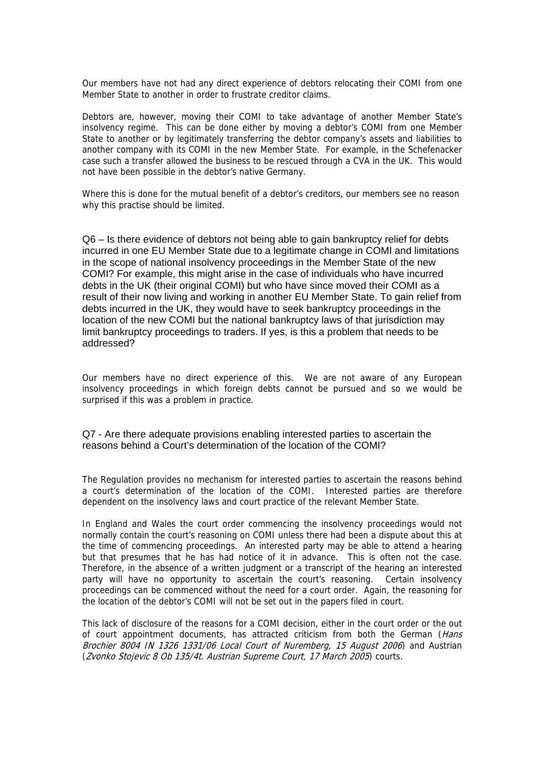Our members have not had any direct experience of debtors relocating their COMI from one Member State to another in order to frustrate creditor claims.

Debtors are, however, moving their COMI to take advantage of another Member State's insolvency regime. This can be done either by moving a debtor's COMI from one Member State to another or by legitimately transferring the debtor company's assets and liabilities to another company with its COMI in the new Member State. For example, in the Schefenacker case such a transfer allowed the business to be rescued through a CVA in the UK. This would not have been possible in the debtor's native Germany.

Where this is done for the mutual benefit of a debtor's creditors, our members see no reason why this practise should be limited.

Q6 – Is there evidence of debtors not being able to gain bankruptcy relief for debts incurred in one EU Member State due to a legitimate change in COMI and limitations in the scope of national insolvency proceedings in the Member State of the new COMI? For example, this might arise in the case of individuals who have incurred debts in the UK (their original COMI) but who have since moved their COMI as a result of their now living and working in another EU Member State. To gain relief from debts incurred in the UK, they would have to seek bankruptcy proceedings in the location of the new COMI but the national bankruptcy laws of that jurisdiction may limit bankruptcy proceedings to traders. If yes, is this a problem that needs to be addressed?

Our members have no direct experience of this. We are not aware of any European insolvency proceedings in which foreign debts cannot be pursued and so we would be surprised if this was a problem in practice.

### Q7 - Are there adequate provisions enabling interested parties to ascertain the reasons behind a Court's determination of the location of the COMI?

The Regulation provides no mechanism for interested parties to ascertain the reasons behind a court's determination of the location of the COMI. Interested parties are therefore dependent on the insolvency laws and court practice of the relevant Member State.

In England and Wales the court order commencing the insolvency proceedings would not normally contain the court's reasoning on COMI unless there had been a dispute about this at the time of commencing proceedings. An interested party may be able to attend a hearing but that presumes that he has had notice of it in advance. This is often not the case. Therefore, in the absence of a written judgment or a transcript of the hearing an interested party will have no opportunity to ascertain the court's reasoning. Certain insolvency proceedings can be commenced without the need for a court order. Again, the reasoning for the location of the debtor's COMI will not be set out in the papers filed in court.

This lack of disclosure of the reasons for a COMI decision, either in the court order or the out of court appointment documents, has attracted criticism from both the German (Hans Brochier 8004 IN 1326 1331/06 Local Court of Nuremberg, 15 August 2006) and Austrian (Zvonko Stojevic 8 Ob 135/4t. Austrian Supreme Court, 17 March 2005) courts.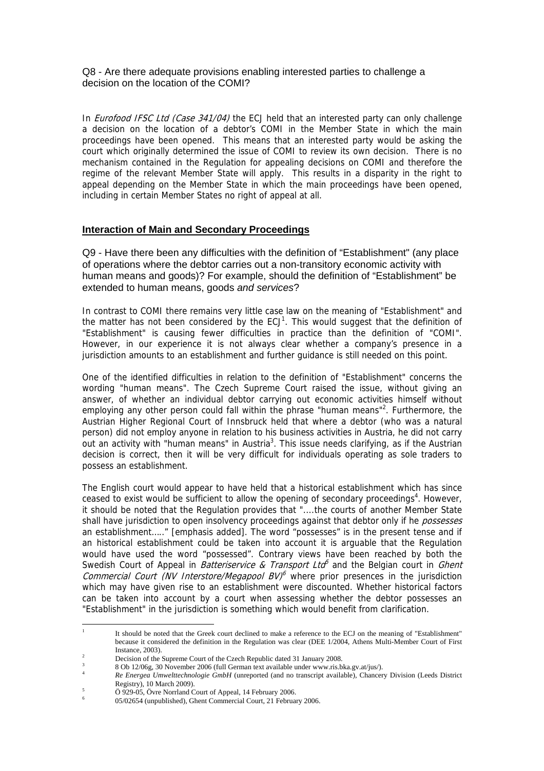Q8 - Are there adequate provisions enabling interested parties to challenge a decision on the location of the COMI?

In *Eurofood IFSC Ltd (Case 341/04)* the ECJ held that an interested party can only challenge a decision on the location of a debtor's COMI in the Member State in which the main proceedings have been opened. This means that an interested party would be asking the court which originally determined the issue of COMI to review its own decision. There is no mechanism contained in the Regulation for appealing decisions on COMI and therefore the regime of the relevant Member State will apply. This results in a disparity in the right to appeal depending on the Member State in which the main proceedings have been opened, including in certain Member States no right of appeal at all.

## **Interaction of Main and Secondary Proceedings**

Q9 - Have there been any difficulties with the definition of "Establishment" (any place of operations where the debtor carries out a non-transitory economic activity with human means and goods)? For example, should the definition of "Establishment" be extended to human means, goods *and services*?

In contrast to COMI there remains very little case law on the meaning of "Establishment" and the matter has not been considered by the  $ECJ<sup>1</sup>$  $ECJ<sup>1</sup>$  $ECJ<sup>1</sup>$ . This would suggest that the definition of "Establishment" is causing fewer difficulties in practice than the definition of "COMI". However, in our experience it is not always clear whether a company's presence in a jurisdiction amounts to an establishment and further guidance is still needed on this point.

One of the identified difficulties in relation to the definition of "Establishment" concerns the wording "human means". The Czech Supreme Court raised the issue, without giving an answer, of whether an individual debtor carrying out economic activities himself without employing any other person could fall within the phrase "human means"<sup>[2](#page-5-1)</sup>. Furthermore, the Austrian Higher Regional Court of Innsbruck held that where a debtor (who was a natural person) did not employ anyone in relation to his business activities in Austria, he did not carry out an activity with "human means" in Austria<sup>[3](#page-5-2)</sup>. This issue needs clarifying, as if the Austrian decision is correct, then it will be very difficult for individuals operating as sole traders to possess an establishment.

The English court would appear to have held that a historical establishment which has since ceased to exist would be sufficient to allow the opening of secondary proceedings<sup>4</sup>[.](#page-5-3) However, it should be noted that the Regulation provides that "....the courts of another Member State shall have jurisdiction to open insolvency proceedings against that debtor only if he *possesses* an establishment….." [emphasis added]. The word "possesses" is in the present tense and if an historical establishment could be taken into account it is arguable that the Regulation would have used the word "possessed". Contrary views have been reached by both the Swedish Court of Appeal in *Batteriservice & Transport Ltd*<sup>6</sup> and the Belgian court in *Ghent* Commercial Court (NV Interstore/Megapool  $BV$ <sup>[6](#page-5-5)</sup> where prior presences in the jurisdiction which may have given rise to an establishment were discounted. Whether historical factors can be taken into account by a court when assessing whether the debtor possesses an "Establishment" in the jurisdiction is something which would benefit from clarification.

<span id="page-5-0"></span> $\frac{1}{1}$  It should be noted that the Greek court declined to make a reference to the ECJ on the meaning of "Establishment" because it considered the definition in the Regulation was clear (DEE 1/2004, Athens Multi-Member Court of First  $I$ nstance, 2003).

<span id="page-5-1"></span> $\frac{2}{3}$  Decision of the Supreme Court of the Czech Republic dated 31 January 2008.

<span id="page-5-2"></span> <sup>8</sup> Ob 12/06g, 30 November 2006 (full German text available under www.ris.bka.gv.at/jus/). 4

<span id="page-5-3"></span>*Re Energea Umwelttechnologie GmbH* (unreported (and no transcript available), Chancery Division (Leeds District Registry), 10 March 2009).

<span id="page-5-4"></span>Ö 929-05, Övre Norrland Court of Appeal, 14 February 2006.

<span id="page-5-5"></span><sup>6</sup> 05/02654 (unpublished), Ghent Commercial Court, 21 February 2006.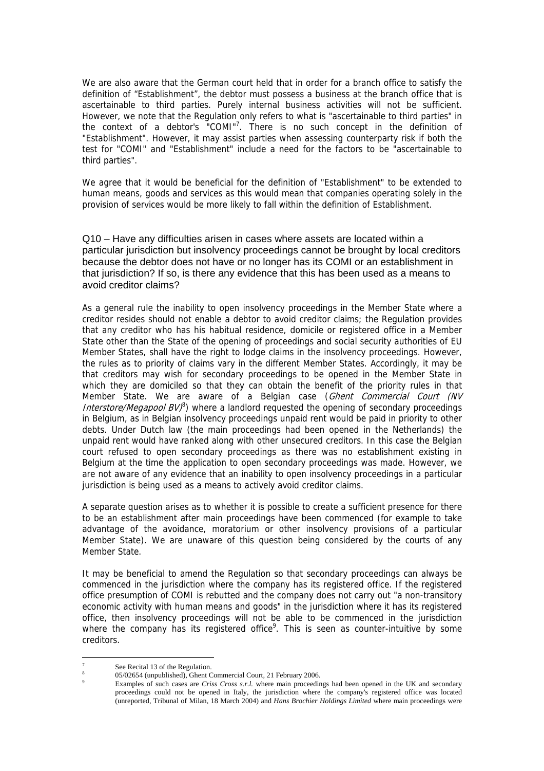<span id="page-6-2"></span>We are also aware that the German court held that in order for a branch office to satisfy the definition of "Establishment", the debtor must possess a business at the branch office that is ascertainable to third parties. Purely internal business activities will not be sufficient. However, we note that the Regulation only refers to what is "ascertainable to third parties" in the context of a debtor's "COMI"<sup>7</sup>. There is no such concept in the definition of "Establishment". However, it may assist parties when assessing counterparty risk if both the test for "COMI" and "Establishment" include a need for the factors to be "ascertainable to third parties".

We agree that it would be beneficial for the definition of "Establishment" to be extended to human means, goods and services as this would mean that companies operating solely in the provision of services would be more likely to fall within the definition of Establishment.

Q10 – Have any difficulties arisen in cases where assets are located within a particular jurisdiction but insolvency proceedings cannot be brought by local creditors because the debtor does not have or no longer has its COMI or an establishment in that jurisdiction? If so, is there any evidence that this has been used as a means to avoid creditor claims?

As a general rule the inability to open insolvency proceedings in the Member State where a creditor resides should not enable a debtor to avoid creditor claims; the Regulation provides that any creditor who has his habitual residence, domicile or registered office in a Member State other than the State of the opening of proceedings and social security authorities of EU Member States, shall have the right to lodge claims in the insolvency proceedings. However, the rules as to priority of claims vary in the different Member States. Accordingly, it may be that creditors may wish for secondary proceedings to be opened in the Member State in which they are domiciled so that they can obtain the benefit of the priority rules in that Member State. We are aware of a Belgian case (Ghent Commercial Court (NV Interstore/Megapool BV)<sup>[8](#page-6-1)</sup>) where a landlord requested the opening of secondary proceedings in Belgium, as in Belgian insolvency proceedings unpaid rent would be paid in priority to other debts. Under Dutch law (the main proceedings had been opened in the Netherlands) the unpaid rent would have ranked along with other unsecured creditors. In this case the Belgian court refused to open secondary proceedings as there was no establishment existing in Belgium at the time the application to open secondary proceedings was made. However, we are not aware of any evidence that an inability to open insolvency proceedings in a particular jurisdiction is being used as a means to actively avoid creditor claims.

A separate question arises as to whether it is possible to create a sufficient presence for there to be an establishment after main proceedings have been commenced (for example to take advantage of the avoidance, moratorium or other insolvency provisions of a particular Member State). We are unaware of this question being considered by the courts of any Member State.

It may be beneficial to amend the Regulation so that secondary proceedings can always be commenced in the jurisdiction where the company has its registered office. If the registered office presumption of COMI is rebutted and the company does not carry out "a non-transitory economic activity with human means and goods" in the jurisdiction where it has its registered office, then insolvency proceedings will not be able to be commenced in the jurisdiction where the company has its registered office<sup>[9](#page-6-2)</sup>. This is seen as counter-intuitive by some creditors.

 $\overline{a}$ 

<span id="page-6-0"></span><sup>7</sup> See Recital 13 of the Regulation.

<span id="page-6-1"></span><sup>8</sup> 05/02654 (unpublished), Ghent Commercial Court, 21 February 2006. 9

Examples of such cases are *Criss Cross s.r.l.* where main proceedings had been opened in the UK and secondary proceedings could not be opened in Italy, the jurisdiction where the company's registered office was located (unreported, Tribunal of Milan, 18 March 2004) and *Hans Brochier Holdings Limited* where main proceedings were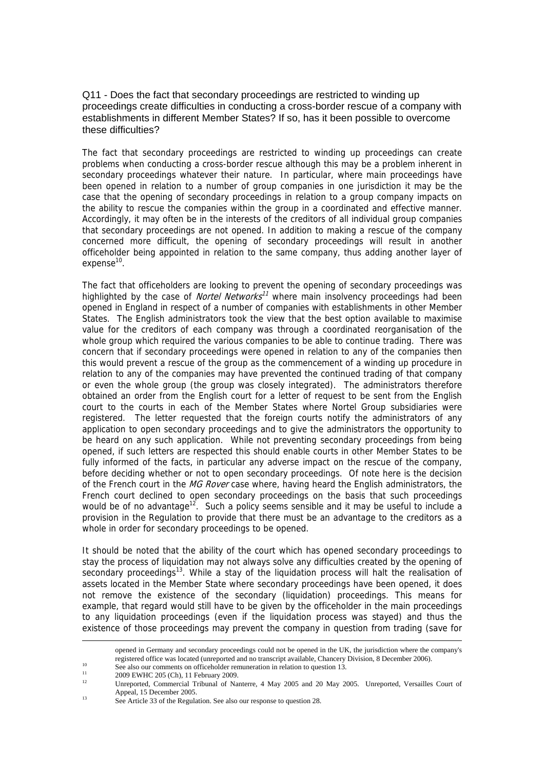Q11 - Does the fact that secondary proceedings are restricted to winding up proceedings create difficulties in conducting a cross-border rescue of a company with establishments in different Member States? If so, has it been possible to overcome these difficulties?

The fact that secondary proceedings are restricted to winding up proceedings can create problems when conducting a cross-border rescue although this may be a problem inherent in secondary proceedings whatever their nature. In particular, where main proceedings have been opened in relation to a number of group companies in one jurisdiction it may be the case that the opening of secondary proceedings in relation to a group company impacts on the ability to rescue the companies within the group in a coordinated and effective manner. Accordingly, it may often be in the interests of the creditors of all individual group companies that secondary proceedings are not opened. In addition to making a rescue of the company concerned more difficult, the opening of secondary proceedings will result in another officeholder being appointed in relation to the same company, thus adding another layer of  $expense<sup>10</sup>$ .

The fact that officeholders are looking to prevent the opening of secondary proceedings was highlighted by the case of *Nortel Networks<sup>[11](#page-7-1)</sup>* where main insolvency proceedings had been opened in England in respect of a number of companies with establishments in other Member States. The English administrators took the view that the best option available to maximise value for the creditors of each company was through a coordinated reorganisation of the whole group which required the various companies to be able to continue trading. There was concern that if secondary proceedings were opened in relation to any of the companies then this would prevent a rescue of the group as the commencement of a winding up procedure in relation to any of the companies may have prevented the continued trading of that company or even the whole group (the group was closely integrated). The administrators therefore obtained an order from the English court for a letter of request to be sent from the English court to the courts in each of the Member States where Nortel Group subsidiaries were registered. The letter requested that the foreign courts notify the administrators of any application to open secondary proceedings and to give the administrators the opportunity to be heard on any such application. While not preventing secondary proceedings from being opened, if such letters are respected this should enable courts in other Member States to be fully informed of the facts, in particular any adverse impact on the rescue of the company, before deciding whether or not to open secondary proceedings. Of note here is the decision of the French court in the MG Rover case where, having heard the English administrators, the French court declined to open secondary proceedings on the basis that such proceedings would be of no advantage<sup>12</sup>. Such a policy seems sensible and it may be useful to include a provision in the Regulation to provide that there must be an advantage to the creditors as a whole in order for secondary proceedings to be opened.

It should be noted that the ability of the court which has opened secondary proceedings to stay the process of liquidation may not always solve any difficulties created by the opening of secondary proceedings<sup>13</sup>. While a stay of the liquidation process will halt the realisation of assets located in the Member State where secondary proceedings have been opened, it does not remove the existence of the secondary (liquidation) proceedings. This means for example, that regard would still have to be given by the officeholder in the main proceedings to any liquidation proceedings (even if the liquidation process was stayed) and thus the existence of those proceedings may prevent the company in question from trading (save for

opened in Germany and secondary proceedings could not be opened in the UK, the jurisdiction where the company's registered office was located (unreported and no transcript available, Chancery Division, 8 December 2006).<br>See also our comments on officeholder remuneration in relation to question 13.<br>2009 EWHC 205 (Ch), 11 February 200

<span id="page-7-0"></span>

<span id="page-7-1"></span>

<span id="page-7-2"></span>Unreported, Commercial Tribunal of Nanterre, 4 May 2005 and 20 May 2005. Unreported, Versailles Court of Appeal, 15 December 2005.

<span id="page-7-3"></span><sup>&</sup>lt;sup>13</sup> See Article 33 of the Regulation. See also our response to question 28.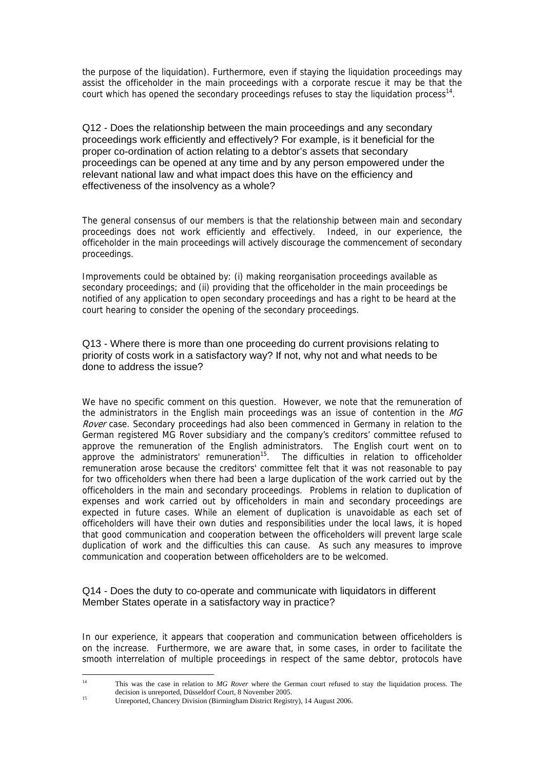the purpose of the liquidation). Furthermore, even if staying the liquidation proceedings may assist the officeholder in the main proceedings with a corporate rescue it may be that the court which has opened the secondary proceedings refuses to stay the liquidation process<sup>14</sup>.

Q12 - Does the relationship between the main proceedings and any secondary proceedings work efficiently and effectively? For example, is it beneficial for the proper co-ordination of action relating to a debtor's assets that secondary proceedings can be opened at any time and by any person empowered under the relevant national law and what impact does this have on the efficiency and effectiveness of the insolvency as a whole?

The general consensus of our members is that the relationship between main and secondary proceedings does not work efficiently and effectively. Indeed, in our experience, the officeholder in the main proceedings will actively discourage the commencement of secondary proceedings.

Improvements could be obtained by: (i) making reorganisation proceedings available as secondary proceedings; and (ii) providing that the officeholder in the main proceedings be notified of any application to open secondary proceedings and has a right to be heard at the court hearing to consider the opening of the secondary proceedings.

Q13 - Where there is more than one proceeding do current provisions relating to priority of costs work in a satisfactory way? If not, why not and what needs to be done to address the issue?

We have no specific comment on this question. However, we note that the remuneration of the administrators in the English main proceedings was an issue of contention in the MG Rover case. Secondary proceedings had also been commenced in Germany in relation to the German registered MG Rover subsidiary and the company's creditors' committee refused to approve the remuneration of the English administrators. The English court went on to approve the administrators' remuneration<sup>15</sup>. The difficulties in relation to officeholder remuneration arose because the creditors' committee felt that it was not reasonable to pay for two officeholders when there had been a large duplication of the work carried out by the officeholders in the main and secondary proceedings. Problems in relation to duplication of expenses and work carried out by officeholders in main and secondary proceedings are expected in future cases. While an element of duplication is unavoidable as each set of officeholders will have their own duties and responsibilities under the local laws, it is hoped that good communication and cooperation between the officeholders will prevent large scale duplication of work and the difficulties this can cause. As such any measures to improve communication and cooperation between officeholders are to be welcomed.

Q14 - Does the duty to co-operate and communicate with liquidators in different Member States operate in a satisfactory way in practice?

In our experience, it appears that cooperation and communication between officeholders is on the increase. Furthermore, we are aware that, in some cases, in order to facilitate the smooth interrelation of multiple proceedings in respect of the same debtor, protocols have

<span id="page-8-0"></span> $14$ This was the case in relation to *MG Rover* where the German court refused to stay the liquidation process. The decision is unreported, Düsseldorf Court, 8 November 2005.

<span id="page-8-1"></span>decision is unreported, Düsseldorf Court, 8 November 2005. 15 Unreported, Chancery Division (Birmingham District Registry), 14 August 2006.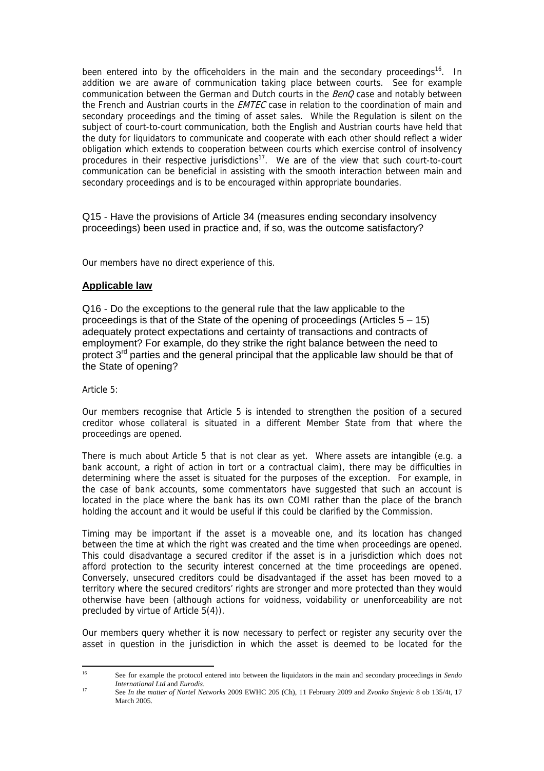been entered into by the officeholders in the main and the secondary proceedings<sup>16</sup>. In addition we are aware of communication taking place between courts. See for example communication between the German and Dutch courts in the BenQ case and notably between the French and Austrian courts in the **EMTEC** case in relation to the coordination of main and secondary proceedings and the timing of asset sales. While the Regulation is silent on the subject of court-to-court communication, both the English and Austrian courts have held that the duty for liquidators to communicate and cooperate with each other should reflect a wider obligation which extends to cooperation between courts which exercise control of insolvency procedures in their respective jurisdictions[17.](#page-9-1) We are of the view that such court-to-court communication can be beneficial in assisting with the smooth interaction between main and secondary proceedings and is to be encouraged within appropriate boundaries.

Q15 - Have the provisions of Article 34 (measures ending secondary insolvency proceedings) been used in practice and, if so, was the outcome satisfactory?

Our members have no direct experience of this.

## **Applicable law**

Q16 - Do the exceptions to the general rule that the law applicable to the proceedings is that of the State of the opening of proceedings (Articles  $5 - 15$ ) adequately protect expectations and certainty of transactions and contracts of employment? For example, do they strike the right balance between the need to protect  $3<sup>rd</sup>$  parties and the general principal that the applicable law should be that of the State of opening?

Article 5:

Our members recognise that Article 5 is intended to strengthen the position of a secured creditor whose collateral is situated in a different Member State from that where the proceedings are opened.

There is much about Article 5 that is not clear as yet. Where assets are intangible (e.g. a bank account, a right of action in tort or a contractual claim), there may be difficulties in determining where the asset is situated for the purposes of the exception. For example, in the case of bank accounts, some commentators have suggested that such an account is located in the place where the bank has its own COMI rather than the place of the branch holding the account and it would be useful if this could be clarified by the Commission.

Timing may be important if the asset is a moveable one, and its location has changed between the time at which the right was created and the time when proceedings are opened. This could disadvantage a secured creditor if the asset is in a jurisdiction which does not afford protection to the security interest concerned at the time proceedings are opened. Conversely, unsecured creditors could be disadvantaged if the asset has been moved to a territory where the secured creditors' rights are stronger and more protected than they would otherwise have been (although actions for voidness, voidability or unenforceability are not precluded by virtue of Article 5(4)).

Our members query whether it is now necessary to perfect or register any security over the asset in question in the jurisdiction in which the asset is deemed to be located for the

<span id="page-9-0"></span> $16^{1}$ 16 See for example the protocol entered into between the liquidators in the main and secondary proceedings in *Sendo International Ltd* and *Eurodis*. 17 See *In the matter of Nortel Networks* 2009 EWHC 205 (Ch), 11 February 2009 and *Zvonko Stojevic* 8 ob 135/4t, 17

<span id="page-9-1"></span>March 2005.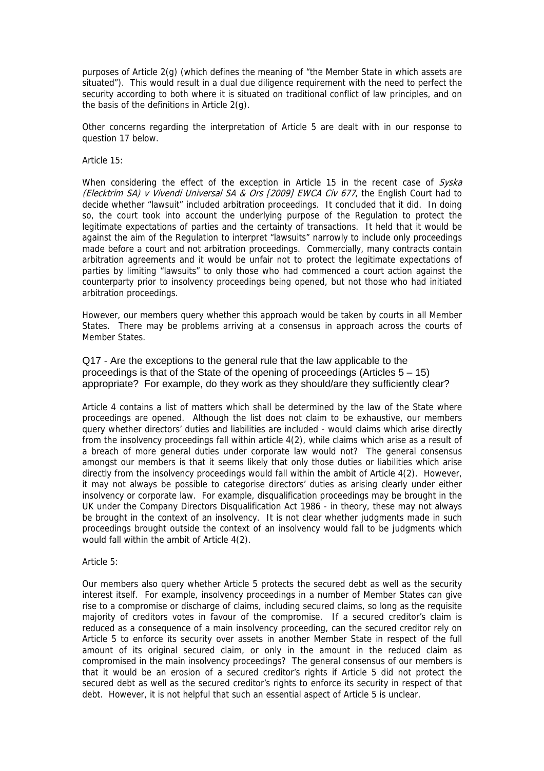purposes of Article 2(g) (which defines the meaning of "the Member State in which assets are situated"). This would result in a dual due diligence requirement with the need to perfect the security according to both where it is situated on traditional conflict of law principles, and on the basis of the definitions in Article 2(g).

Other concerns regarding the interpretation of Article 5 are dealt with in our response to question 17 below.

Article 15:

When considering the effect of the exception in Article 15 in the recent case of  $Sv/sk$ (Elecktrim SA) v Vivendi Universal SA & Ors [2009] EWCA Civ 677, the English Court had to decide whether "lawsuit" included arbitration proceedings. It concluded that it did. In doing so, the court took into account the underlying purpose of the Regulation to protect the legitimate expectations of parties and the certainty of transactions. It held that it would be against the aim of the Regulation to interpret "lawsuits" narrowly to include only proceedings made before a court and not arbitration proceedings. Commercially, many contracts contain arbitration agreements and it would be unfair not to protect the legitimate expectations of parties by limiting "lawsuits" to only those who had commenced a court action against the counterparty prior to insolvency proceedings being opened, but not those who had initiated arbitration proceedings.

However, our members query whether this approach would be taken by courts in all Member States. There may be problems arriving at a consensus in approach across the courts of Member States.

Q17 - Are the exceptions to the general rule that the law applicable to the proceedings is that of the State of the opening of proceedings (Articles  $5 - 15$ ) appropriate? For example, do they work as they should/are they sufficiently clear?

Article 4 contains a list of matters which shall be determined by the law of the State where proceedings are opened. Although the list does not claim to be exhaustive, our members query whether directors' duties and liabilities are included - would claims which arise directly from the insolvency proceedings fall within article 4(2), while claims which arise as a result of a breach of more general duties under corporate law would not? The general consensus amongst our members is that it seems likely that only those duties or liabilities which arise directly from the insolvency proceedings would fall within the ambit of Article 4(2). However, it may not always be possible to categorise directors' duties as arising clearly under either insolvency or corporate law. For example, disqualification proceedings may be brought in the UK under the Company Directors Disqualification Act 1986 - in theory, these may not always be brought in the context of an insolvency. It is not clear whether judgments made in such proceedings brought outside the context of an insolvency would fall to be judgments which would fall within the ambit of Article 4(2).

Article 5:

Our members also query whether Article 5 protects the secured debt as well as the security interest itself. For example, insolvency proceedings in a number of Member States can give rise to a compromise or discharge of claims, including secured claims, so long as the requisite majority of creditors votes in favour of the compromise. If a secured creditor's claim is reduced as a consequence of a main insolvency proceeding, can the secured creditor rely on Article 5 to enforce its security over assets in another Member State in respect of the full amount of its original secured claim, or only in the amount in the reduced claim as compromised in the main insolvency proceedings? The general consensus of our members is that it would be an erosion of a secured creditor's rights if Article 5 did not protect the secured debt as well as the secured creditor's rights to enforce its security in respect of that debt. However, it is not helpful that such an essential aspect of Article 5 is unclear.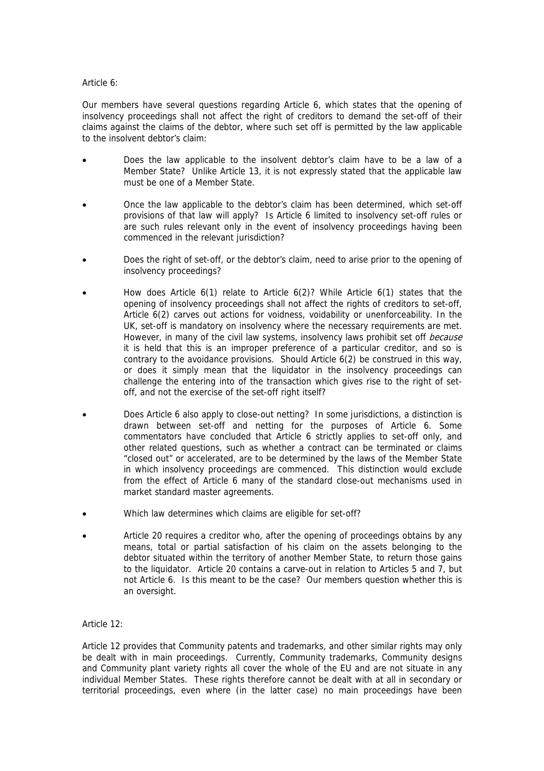#### Article 6:

Our members have several questions regarding Article 6, which states that the opening of insolvency proceedings shall not affect the right of creditors to demand the set-off of their claims against the claims of the debtor, where such set off is permitted by the law applicable to the insolvent debtor's claim:

- Does the law applicable to the insolvent debtor's claim have to be a law of a Member State? Unlike Article 13, it is not expressly stated that the applicable law must be one of a Member State.
- Once the law applicable to the debtor's claim has been determined, which set-off provisions of that law will apply? Is Article 6 limited to insolvency set-off rules or are such rules relevant only in the event of insolvency proceedings having been commenced in the relevant jurisdiction?
- Does the right of set-off, or the debtor's claim, need to arise prior to the opening of insolvency proceedings?
- How does Article  $6(1)$  relate to Article  $6(2)$ ? While Article  $6(1)$  states that the opening of insolvency proceedings shall not affect the rights of creditors to set-off, Article 6(2) carves out actions for voidness, voidability or unenforceability. In the UK, set-off is mandatory on insolvency where the necessary requirements are met. However, in many of the civil law systems, insolvency laws prohibit set off *because* it is held that this is an improper preference of a particular creditor, and so is contrary to the avoidance provisions. Should Article 6(2) be construed in this way, or does it simply mean that the liquidator in the insolvency proceedings can challenge the entering into of the transaction which gives rise to the right of setoff, and not the exercise of the set-off right itself?
- Does Article 6 also apply to close-out netting? In some jurisdictions, a distinction is drawn between set-off and netting for the purposes of Article 6. Some commentators have concluded that Article 6 strictly applies to set-off only, and other related questions, such as whether a contract can be terminated or claims "closed out" or accelerated, are to be determined by the laws of the Member State in which insolvency proceedings are commenced. This distinction would exclude from the effect of Article 6 many of the standard close-out mechanisms used in market standard master agreements.
- Which law determines which claims are eligible for set-off?
- Article 20 requires a creditor who, after the opening of proceedings obtains by any means, total or partial satisfaction of his claim on the assets belonging to the debtor situated within the territory of another Member State, to return those gains to the liquidator. Article 20 contains a carve-out in relation to Articles 5 and 7, but not Article 6. Is this meant to be the case? Our members question whether this is an oversight.

#### Article 12:

Article 12 provides that Community patents and trademarks, and other similar rights may only be dealt with in main proceedings. Currently, Community trademarks, Community designs and Community plant variety rights all cover the whole of the EU and are not situate in any individual Member States. These rights therefore cannot be dealt with at all in secondary or territorial proceedings, even where (in the latter case) no main proceedings have been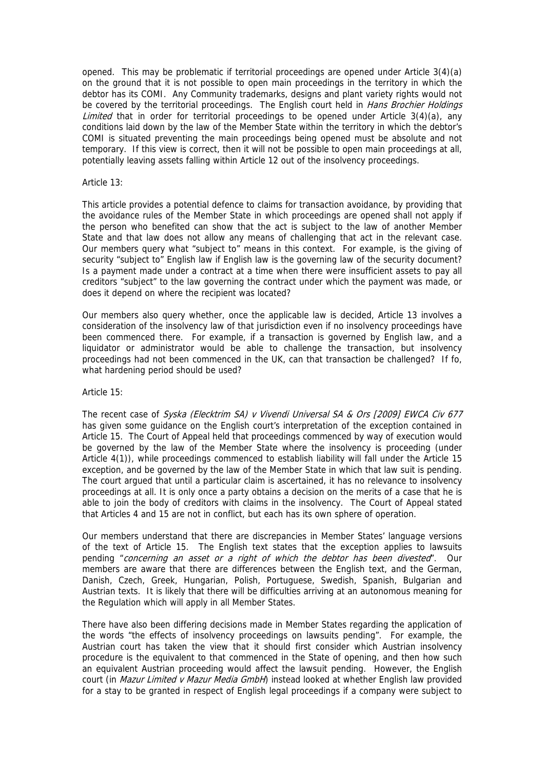opened. This may be problematic if territorial proceedings are opened under Article 3(4)(a) on the ground that it is not possible to open main proceedings in the territory in which the debtor has its COMI. Any Community trademarks, designs and plant variety rights would not be covered by the territorial proceedings. The English court held in *Hans Brochier Holdings* Limited that in order for territorial proceedings to be opened under Article  $3(4)(a)$ , any conditions laid down by the law of the Member State within the territory in which the debtor's COMI is situated preventing the main proceedings being opened must be absolute and not temporary. If this view is correct, then it will not be possible to open main proceedings at all, potentially leaving assets falling within Article 12 out of the insolvency proceedings.

#### Article 13:

This article provides a potential defence to claims for transaction avoidance, by providing that the avoidance rules of the Member State in which proceedings are opened shall not apply if the person who benefited can show that the act is subject to the law of another Member State and that law does not allow any means of challenging that act in the relevant case. Our members query what "subject to" means in this context. For example, is the giving of security "subject to" English law if English law is the governing law of the security document? Is a payment made under a contract at a time when there were insufficient assets to pay all creditors "subject" to the law governing the contract under which the payment was made, or does it depend on where the recipient was located?

Our members also query whether, once the applicable law is decided, Article 13 involves a consideration of the insolvency law of that jurisdiction even if no insolvency proceedings have been commenced there. For example, if a transaction is governed by English law, and a liquidator or administrator would be able to challenge the transaction, but insolvency proceedings had not been commenced in the UK, can that transaction be challenged? If fo, what hardening period should be used?

#### Article 15:

The recent case of Syska (Elecktrim SA) v Vivendi Universal SA & Ors [2009] EWCA Civ 677 has given some guidance on the English court's interpretation of the exception contained in Article 15. The Court of Appeal held that proceedings commenced by way of execution would be governed by the law of the Member State where the insolvency is proceeding (under Article 4(1)), while proceedings commenced to establish liability will fall under the Article 15 exception, and be governed by the law of the Member State in which that law suit is pending. The court argued that until a particular claim is ascertained, it has no relevance to insolvency proceedings at all. It is only once a party obtains a decision on the merits of a case that he is able to join the body of creditors with claims in the insolvency. The Court of Appeal stated that Articles 4 and 15 are not in conflict, but each has its own sphere of operation.

Our members understand that there are discrepancies in Member States' language versions of the text of Article 15. The English text states that the exception applies to lawsuits pending "concerning an asset or a right of which the debtor has been divested". Our members are aware that there are differences between the English text, and the German, Danish, Czech, Greek, Hungarian, Polish, Portuguese, Swedish, Spanish, Bulgarian and Austrian texts. It is likely that there will be difficulties arriving at an autonomous meaning for the Regulation which will apply in all Member States.

There have also been differing decisions made in Member States regarding the application of the words "the effects of insolvency proceedings on lawsuits pending". For example, the Austrian court has taken the view that it should first consider which Austrian insolvency procedure is the equivalent to that commenced in the State of opening, and then how such an equivalent Austrian proceeding would affect the lawsuit pending. However, the English court (in Mazur Limited v Mazur Media GmbH) instead looked at whether English law provided for a stay to be granted in respect of English legal proceedings if a company were subject to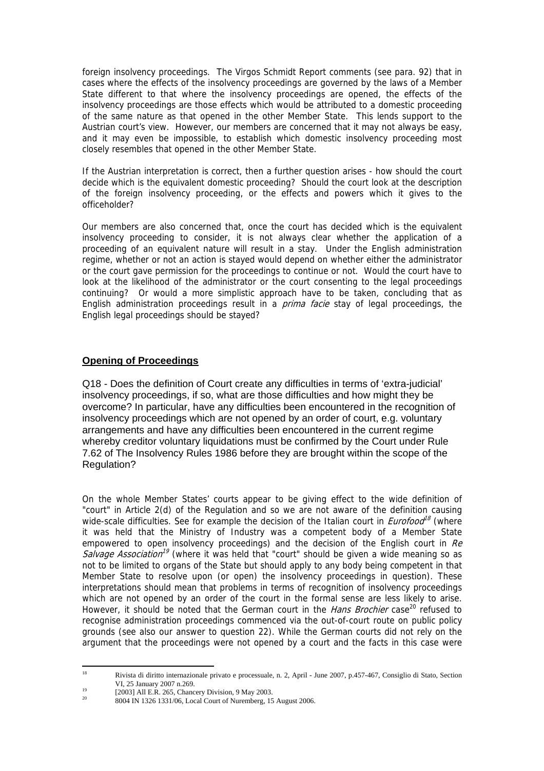foreign insolvency proceedings. The Virgos Schmidt Report comments (see para. 92) that in cases where the effects of the insolvency proceedings are governed by the laws of a Member State different to that where the insolvency proceedings are opened, the effects of the insolvency proceedings are those effects which would be attributed to a domestic proceeding of the same nature as that opened in the other Member State. This lends support to the Austrian court's view. However, our members are concerned that it may not always be easy, and it may even be impossible, to establish which domestic insolvency proceeding most closely resembles that opened in the other Member State.

If the Austrian interpretation is correct, then a further question arises - how should the court decide which is the equivalent domestic proceeding? Should the court look at the description of the foreign insolvency proceeding, or the effects and powers which it gives to the officeholder?

Our members are also concerned that, once the court has decided which is the equivalent insolvency proceeding to consider, it is not always clear whether the application of a proceeding of an equivalent nature will result in a stay. Under the English administration regime, whether or not an action is stayed would depend on whether either the administrator or the court gave permission for the proceedings to continue or not. Would the court have to look at the likelihood of the administrator or the court consenting to the legal proceedings continuing? Or would a more simplistic approach have to be taken, concluding that as English administration proceedings result in a *prima facie* stay of legal proceedings, the English legal proceedings should be stayed?

## **Opening of Proceedings**

Q18 - Does the definition of Court create any difficulties in terms of 'extra-judicial' insolvency proceedings, if so, what are those difficulties and how might they be overcome? In particular, have any difficulties been encountered in the recognition of insolvency proceedings which are not opened by an order of court, e.g. voluntary arrangements and have any difficulties been encountered in the current regime whereby creditor voluntary liquidations must be confirmed by the Court under Rule 7.62 of The Insolvency Rules 1986 before they are brought within the scope of the Regulation?

On the whole Member States' courts appear to be giving effect to the wide definition of "court" in Article 2(d) of the Regulation and so we are not aware of the definition causing wide-scale difficulties. See for example the decision of the Italian court in *Eurofood*<sup>[18](#page-13-0)</sup> (where it was held that the Ministry of Industry was a competent body of a Member State empowered to open insolvency proceedings) and the decision of the English court in  $Re$ Salvage Association<sup>[19](#page-13-1)</sup> (where it was held that "court" should be given a wide meaning so as not to be limited to organs of the State but should apply to any body being competent in that Member State to resolve upon (or open) the insolvency proceedings in question). These interpretations should mean that problems in terms of recognition of insolvency proceedings which are not opened by an order of the court in the formal sense are less likely to arise. However, it should be noted that the German court in the *Hans Brochier* case<sup>20</sup> refused to recognise administration proceedings commenced via the out-of-court route on public policy grounds (see also our answer to question 22). While the German courts did not rely on the argument that the proceedings were not opened by a court and the facts in this case were

<span id="page-13-0"></span> $18$ 18 Rivista di diritto internazionale privato e processuale, n. 2, April - June 2007, p.457-467, Consiglio di Stato, Section

<span id="page-13-1"></span>VI, 25 January 2007 n.269.<br>
[2003] All E.R. 265, Chancery Division, 9 May 2003.<br>
20 **10004 N.1226 1221/06** Lazal Crypt of Nanombers 15

<span id="page-13-2"></span><sup>20 8004</sup> IN 1326 1331/06, Local Court of Nuremberg, 15 August 2006.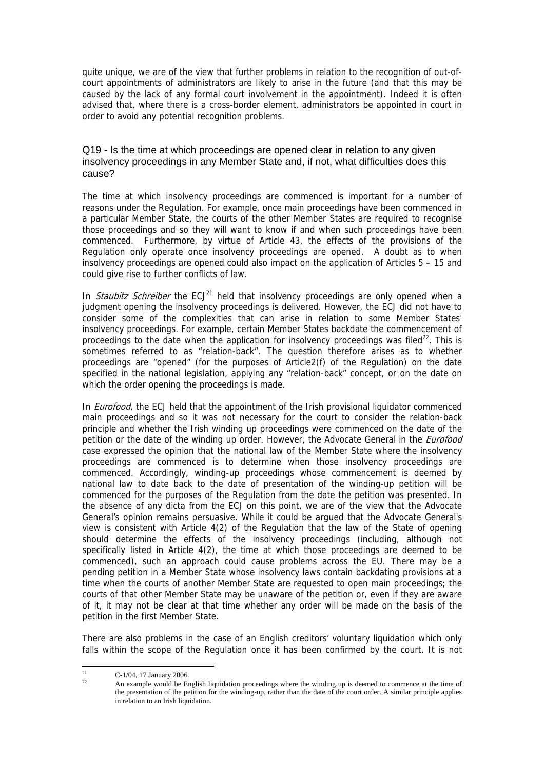quite unique, we are of the view that further problems in relation to the recognition of out-ofcourt appointments of administrators are likely to arise in the future (and that this may be caused by the lack of any formal court involvement in the appointment). Indeed it is often advised that, where there is a cross-border element, administrators be appointed in court in order to avoid any potential recognition problems.

Q19 - Is the time at which proceedings are opened clear in relation to any given insolvency proceedings in any Member State and, if not, what difficulties does this cause?

The time at which insolvency proceedings are commenced is important for a number of reasons under the Regulation. For example, once main proceedings have been commenced in a particular Member State, the courts of the other Member States are required to recognise those proceedings and so they will want to know if and when such proceedings have been commenced. Furthermore, by virtue of Article 43, the effects of the provisions of the Regulation only operate once insolvency proceedings are opened. A doubt as to when insolvency proceedings are opened could also impact on the application of Articles 5 – 15 and could give rise to further conflicts of law.

In *Staubitz Schreiber* the  $ECJ<sup>21</sup>$  held that insolvency proceedings are only opened when a judgment opening the insolvency proceedings is delivered. However, the ECJ did not have to consider some of the complexities that can arise in relation to some Member States' insolvency proceedings. For example, certain Member States backdate the commencement of proceedings to the date when the application for insolvency proceedings was filed<sup>22</sup>. This is sometimes referred to as "relation-back". The question therefore arises as to whether proceedings are "opened" (for the purposes of Article2(f) of the Regulation) on the date specified in the national legislation, applying any "relation-back" concept, or on the date on which the order opening the proceedings is made.

In *Eurofood*, the ECJ held that the appointment of the Irish provisional liquidator commenced main proceedings and so it was not necessary for the court to consider the relation-back principle and whether the Irish winding up proceedings were commenced on the date of the petition or the date of the winding up order. However, the Advocate General in the *Eurofood* case expressed the opinion that the national law of the Member State where the insolvency proceedings are commenced is to determine when those insolvency proceedings are commenced. Accordingly, winding-up proceedings whose commencement is deemed by national law to date back to the date of presentation of the winding-up petition will be commenced for the purposes of the Regulation from the date the petition was presented. In the absence of any dicta from the ECJ on this point, we are of the view that the Advocate General's opinion remains persuasive. While it could be argued that the Advocate General's view is consistent with Article 4(2) of the Regulation that the law of the State of opening should determine the effects of the insolvency proceedings (including, although not specifically listed in Article 4(2), the time at which those proceedings are deemed to be commenced), such an approach could cause problems across the EU. There may be a pending petition in a Member State whose insolvency laws contain backdating provisions at a time when the courts of another Member State are requested to open main proceedings; the courts of that other Member State may be unaware of the petition or, even if they are aware of it, it may not be clear at that time whether any order will be made on the basis of the petition in the first Member State.

There are also problems in the case of an English creditors' voluntary liquidation which only falls within the scope of the Regulation once it has been confirmed by the court. It is not

<span id="page-14-0"></span> $21$ <sup>21</sup> C-1/04, 17 January 2006.

<span id="page-14-1"></span>An example would be English liquidation proceedings where the winding up is deemed to commence at the time of the presentation of the petition for the winding-up, rather than the date of the court order. A similar principle applies in relation to an Irish liquidation.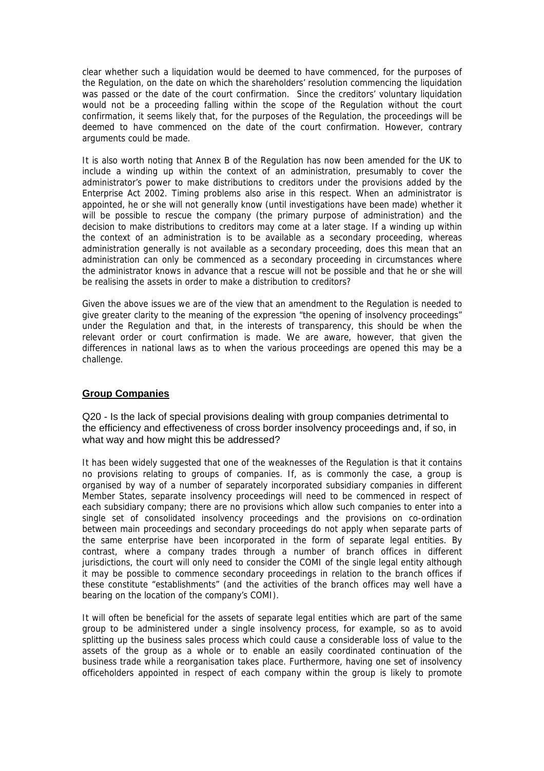clear whether such a liquidation would be deemed to have commenced, for the purposes of the Regulation, on the date on which the shareholders' resolution commencing the liquidation was passed or the date of the court confirmation. Since the creditors' voluntary liquidation would not be a proceeding falling within the scope of the Regulation without the court confirmation, it seems likely that, for the purposes of the Regulation, the proceedings will be deemed to have commenced on the date of the court confirmation. However, contrary arguments could be made.

It is also worth noting that Annex B of the Regulation has now been amended for the UK to include a winding up within the context of an administration, presumably to cover the administrator's power to make distributions to creditors under the provisions added by the Enterprise Act 2002. Timing problems also arise in this respect. When an administrator is appointed, he or she will not generally know (until investigations have been made) whether it will be possible to rescue the company (the primary purpose of administration) and the decision to make distributions to creditors may come at a later stage. If a winding up within the context of an administration is to be available as a secondary proceeding, whereas administration generally is not available as a secondary proceeding, does this mean that an administration can only be commenced as a secondary proceeding in circumstances where the administrator knows in advance that a rescue will not be possible and that he or she will be realising the assets in order to make a distribution to creditors?

Given the above issues we are of the view that an amendment to the Regulation is needed to give greater clarity to the meaning of the expression "the opening of insolvency proceedings" under the Regulation and that, in the interests of transparency, this should be when the relevant order or court confirmation is made. We are aware, however, that given the differences in national laws as to when the various proceedings are opened this may be a challenge.

## **Group Companies**

Q20 - Is the lack of special provisions dealing with group companies detrimental to the efficiency and effectiveness of cross border insolvency proceedings and, if so, in what way and how might this be addressed?

It has been widely suggested that one of the weaknesses of the Regulation is that it contains no provisions relating to groups of companies. If, as is commonly the case, a group is organised by way of a number of separately incorporated subsidiary companies in different Member States, separate insolvency proceedings will need to be commenced in respect of each subsidiary company; there are no provisions which allow such companies to enter into a single set of consolidated insolvency proceedings and the provisions on co-ordination between main proceedings and secondary proceedings do not apply when separate parts of the same enterprise have been incorporated in the form of separate legal entities. By contrast, where a company trades through a number of branch offices in different jurisdictions, the court will only need to consider the COMI of the single legal entity although it may be possible to commence secondary proceedings in relation to the branch offices if these constitute "establishments" (and the activities of the branch offices may well have a bearing on the location of the company's COMI).

It will often be beneficial for the assets of separate legal entities which are part of the same group to be administered under a single insolvency process, for example, so as to avoid splitting up the business sales process which could cause a considerable loss of value to the assets of the group as a whole or to enable an easily coordinated continuation of the business trade while a reorganisation takes place. Furthermore, having one set of insolvency officeholders appointed in respect of each company within the group is likely to promote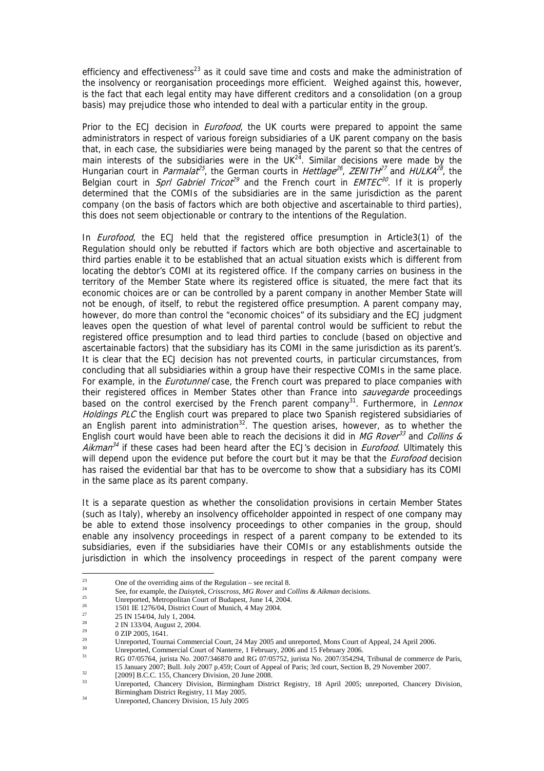efficiency and effectiveness<sup>23</sup> as it could save time and costs and make the administration of the insolvency or reorganisation proceedings more efficient. Weighed against this, however, is the fact that each legal entity may have different creditors and a consolidation (on a group basis) may prejudice those who intended to deal with a particular entity in the group.

Prior to the ECJ decision in *Eurofood*, the UK courts were prepared to appoint the same administrators in respect of various foreign subsidiaries of a UK parent company on the basis that, in each case, the subsidiaries were being managed by the parent so that the centres of main interests of the subsidiaries were in the UK $^{24}$ . Similar decisions were made by the Hungarian court in *Parmalat<sup>[25](#page-16-2)</sup>*, the German courts in *Hettlage<sup>[26](#page-16-3)</sup>*, *ZENITH*<sup>[27](#page-16-4)</sup> and *HULKA*<sup>[28](#page-16-5)</sup>, the Belgian court in *Sprl Gabriel Tricot<sup>[29](#page-16-6)</sup>* and the French court in  $EMTEC^{30}$  $EMTEC^{30}$  $EMTEC^{30}$ . If it is properly determined that the COMIs of the subsidiaries are in the same jurisdiction as the parent company (on the basis of factors which are both objective and ascertainable to third parties), this does not seem objectionable or contrary to the intentions of the Regulation.

In *Eurofood*, the ECJ held that the registered office presumption in Article3(1) of the Regulation should only be rebutted if factors which are both objective and ascertainable to third parties enable it to be established that an actual situation exists which is different from locating the debtor's COMI at its registered office. If the company carries on business in the territory of the Member State where its registered office is situated, the mere fact that its economic choices are or can be controlled by a parent company in another Member State will not be enough, of itself, to rebut the registered office presumption. A parent company may, however, do more than control the "economic choices" of its subsidiary and the ECJ judgment leaves open the question of what level of parental control would be sufficient to rebut the registered office presumption and to lead third parties to conclude (based on objective and ascertainable factors) that the subsidiary has its COMI in the same jurisdiction as its parent's. It is clear that the ECJ decision has not prevented courts, in particular circumstances, from concluding that all subsidiaries within a group have their respective COMIs in the same place. For example, in the *Eurotunnel* case, the French court was prepared to place companies with their registered offices in Member States other than France into sauvegarde proceedings based on the control exercised by the French parent company<sup>31</sup>. Furthermore, in Lennox Holdings PLC the English court was prepared to place two Spanish registered subsidiaries of an English parent into administration<sup>32</sup>. The question arises, however, as to whether the English court would have been able to reach the decisions it did in MG Rover<sup>[33](#page-16-10)</sup> and Collins & *Aikman*<sup>[34](#page-16-11)</sup> if these cases had been heard after the ECJ's decision in *Eurofood*. Ultimately this will depend upon the evidence put before the court but it may be that the *Eurofood* decision has raised the evidential bar that has to be overcome to show that a subsidiary has its COMI in the same place as its parent company.

It is a separate question as whether the consolidation provisions in certain Member States (such as Italy), whereby an insolvency officeholder appointed in respect of one company may be able to extend those insolvency proceedings to other companies in the group, should enable any insolvency proceedings in respect of a parent company to be extended to its subsidiaries, even if the subsidiaries have their COMIs or any establishments outside the jurisdiction in which the insolvency proceedings in respect of the parent company were

<span id="page-16-0"></span> $23$ <sup>23</sup> One of the overriding aims of the Regulation – see recital 8.

<span id="page-16-1"></span><sup>&</sup>lt;sup>24</sup><br>See, for example, the *Daisytek*, *Crisscross*, *MG Rover* and *Collins* & *Aikman* decisions.<br><sup>25</sup><br>IDI IE 1276/04, District Court of Budapest, June 14, 2004.<br><sup>26</sup><br>27 15 N 154/04, District Court of Munich, 4 May 2004

<span id="page-16-2"></span>

<span id="page-16-3"></span>

<span id="page-16-4"></span><sup>&</sup>lt;sup>27</sup> 25 IN 154/04, July 1, 2004.

<span id="page-16-5"></span> $\frac{28}{29}$  2 IN 133/04, August 2, 2004.

<span id="page-16-6"></span>

 $^{29}$  0 ZIP 2005, 1641.<br>
Unreported, Tournai Commercial Court, 24 May 2005 and unreported, Mons Court of Appeal, 24 April 2006.

<span id="page-16-8"></span><span id="page-16-7"></span>

<sup>1000</sup> Unreported, Commercial Court of Nanterre, 1 February 2006 and 15 February 2006.<br>RG 07/05764, jurista No. 2007/346870 and RG 07/05752, jurista No. 2007/354294, Tribunal de commerce de Paris, 15 January 2007; Bull. Joly 2007 p.459; Court of Appeal of Paris; 3rd court, Section B, 29 November 2007.<br>
[2009] B.C.C. 155, Chancery Division, 20 June 2008.

<span id="page-16-9"></span>

<span id="page-16-10"></span>Unreported, Chancery Division, Birmingham District Registry, 18 April 2005; unreported, Chancery Division, Birmingham District Registry, 11 May 2005.

<span id="page-16-11"></span>Birmingham District Registry, 11 May 2005. 34 Unreported, Chancery Division, 15 July 2005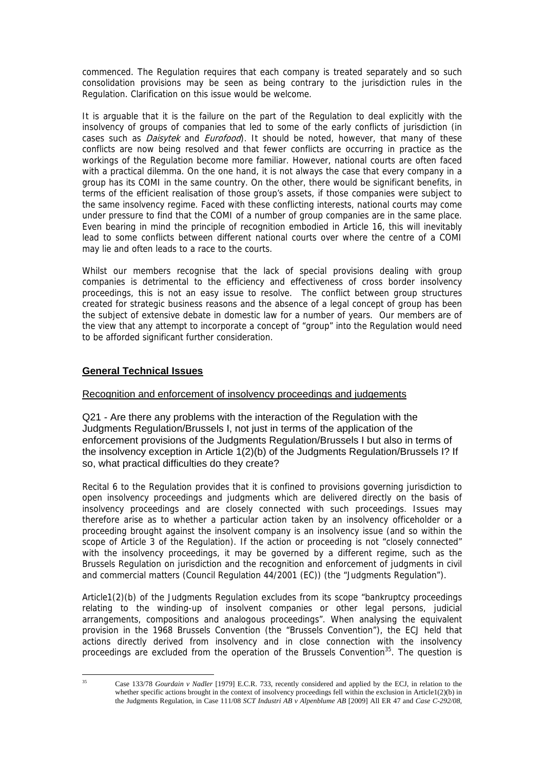<span id="page-17-0"></span>commenced. The Regulation requires that each company is treated separately and so such consolidation provisions may be seen as being contrary to the jurisdiction rules in the Regulation. Clarification on this issue would be welcome.

It is arguable that it is the failure on the part of the Regulation to deal explicitly with the insolvency of groups of companies that led to some of the early conflicts of jurisdiction (in cases such as *Daisytek* and *Eurofood*). It should be noted, however, that many of these conflicts are now being resolved and that fewer conflicts are occurring in practice as the workings of the Regulation become more familiar. However, national courts are often faced with a practical dilemma. On the one hand, it is not always the case that every company in a group has its COMI in the same country. On the other, there would be significant benefits, in terms of the efficient realisation of those group's assets, if those companies were subject to the same insolvency regime. Faced with these conflicting interests, national courts may come under pressure to find that the COMI of a number of group companies are in the same place. Even bearing in mind the principle of recognition embodied in Article 16, this will inevitably lead to some conflicts between different national courts over where the centre of a COMI may lie and often leads to a race to the courts.

Whilst our members recognise that the lack of special provisions dealing with group companies is detrimental to the efficiency and effectiveness of cross border insolvency proceedings, this is not an easy issue to resolve. The conflict between group structures created for strategic business reasons and the absence of a legal concept of group has been the subject of extensive debate in domestic law for a number of years. Our members are of the view that any attempt to incorporate a concept of "group" into the Regulation would need to be afforded significant further consideration.

# **General Technical Issues**

# Recognition and enforcement of insolvency proceedings and judgements

Q21 - Are there any problems with the interaction of the Regulation with the Judgments Regulation/Brussels I, not just in terms of the application of the enforcement provisions of the Judgments Regulation/Brussels I but also in terms of the insolvency exception in Article 1(2)(b) of the Judgments Regulation/Brussels I? If so, what practical difficulties do they create?

Recital 6 to the Regulation provides that it is confined to provisions governing jurisdiction to open insolvency proceedings and judgments which are delivered directly on the basis of insolvency proceedings and are closely connected with such proceedings. Issues may therefore arise as to whether a particular action taken by an insolvency officeholder or a proceeding brought against the insolvent company is an insolvency issue (and so within the scope of Article 3 of the Regulation). If the action or proceeding is not "closely connected" with the insolvency proceedings, it may be governed by a different regime, such as the Brussels Regulation on jurisdiction and the recognition and enforcement of judgments in civil and commercial matters (Council Regulation 44/2001 (EC)) (the "Judgments Regulation").

Article1(2)(b) of the Judgments Regulation excludes from its scope "bankruptcy proceedings relating to the winding-up of insolvent companies or other legal persons, judicial arrangements, compositions and analogous proceedings". When analysing the equivalent provision in the 1968 Brussels Convention (the "Brussels Convention"), the ECJ held that actions directly derived from insolvency and in close connection with the insolvency proceedings are excluded from the operation of the Brussels Convention<sup>35</sup>. The question is

 $35$ 

<sup>35</sup> Case 133/78 *Gourdain v Nadler* [1979] E.C.R. 733, recently considered and applied by the ECJ, in relation to the whether specific actions brought in the context of insolvency proceedings fell within the exclusion in Article1(2)(b) in the Judgments Regulation, in Case 111/08 *SCT Industri AB v Alpenblume AB* [2009] All ER 47 and *Case C-292/08,*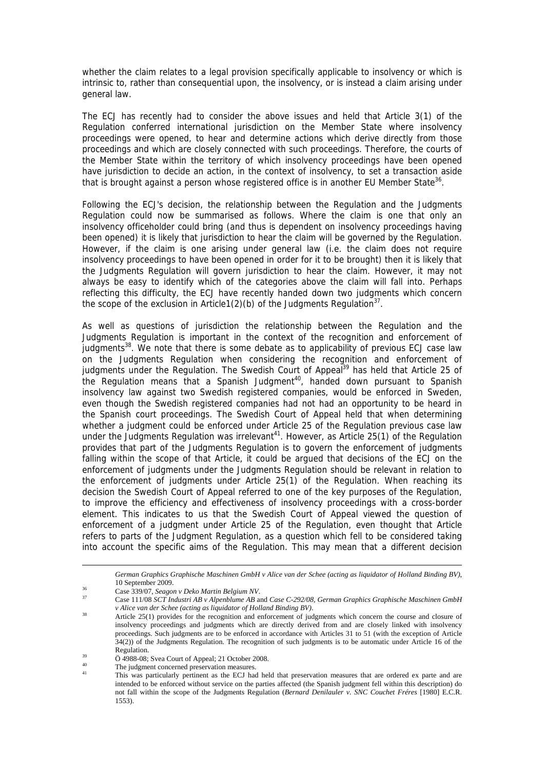whether the claim relates to a legal provision specifically applicable to insolvency or which is intrinsic to, rather than consequential upon, the insolvency, or is instead a claim arising under general law.

The ECJ has recently had to consider the above issues and held that Article 3(1) of the Regulation conferred international jurisdiction on the Member State where insolvency proceedings were opened, to hear and determine actions which derive directly from those proceedings and which are closely connected with such proceedings. Therefore, the courts of the Member State within the territory of which insolvency proceedings have been opened have jurisdiction to decide an action, in the context of insolvency, to set a transaction aside that is brought against a person whose registered office is in another EU Member State<sup>36</sup>.

Following the ECJ's decision, the relationship between the Regulation and the Judgments Regulation could now be summarised as follows. Where the claim is one that only an insolvency officeholder could bring (and thus is dependent on insolvency proceedings having been opened) it is likely that jurisdiction to hear the claim will be governed by the Regulation. However, if the claim is one arising under general law (i.e. the claim does not require insolvency proceedings to have been opened in order for it to be brought) then it is likely that the Judgments Regulation will govern jurisdiction to hear the claim. However, it may not always be easy to identify which of the categories above the claim will fall into. Perhaps reflecting this difficulty, the ECJ have recently handed down two judgments which concern the scope of the exclusion in Article1(2)(b) of the Judgments Regulation<sup>37</sup>.

As well as questions of jurisdiction the relationship between the Regulation and the Judgments Regulation is important in the context of the recognition and enforcement of judgments<sup>38</sup>. We note that there is some debate as to applicability of previous ECJ case law on the Judgments Regulation when considering the recognition and enforcement of judgments under the Regulation. The Swedish Court of Appeal<sup>39</sup> has held that Article 25 of the Regulation means that a Spanish Judgment<sup>40</sup>, handed down pursuant to Spanish insolvency law against two Swedish registered companies, would be enforced in Sweden, even though the Swedish registered companies had not had an opportunity to be heard in the Spanish court proceedings. The Swedish Court of Appeal held that when determining whether a judgment could be enforced under Article 25 of the Regulation previous case law under the Judgments Regulation was irrelevant<sup>41</sup>. However, as Article 25(1) of the Regulation provides that part of the Judgments Regulation is to govern the enforcement of judgments falling within the scope of that Article, it could be argued that decisions of the ECJ on the enforcement of judgments under the Judgments Regulation should be relevant in relation to the enforcement of judgments under Article 25(1) of the Regulation. When reaching its decision the Swedish Court of Appeal referred to one of the key purposes of the Regulation, to improve the efficiency and effectiveness of insolvency proceedings with a cross-border element. This indicates to us that the Swedish Court of Appeal viewed the question of enforcement of a judgment under Article 25 of the Regulation, even thought that Article refers to parts of the Judgment Regulation, as a question which fell to be considered taking into account the specific aims of the Regulation. This may mean that a different decision

 $\overline{a}$ 

*German Graphics Graphische Maschinen GmbH v Alice van der Schee (acting as liquidator of Holland Binding BV)*, 10 September 2009. 36 Case 339/07, *Seagon v Deko Martin Belgium NV*. 37 Case 111/08 *SCT Industri AB v Alpenblume AB* and *Case C-292/08, German Graphics Graphische Maschinen GmbH* 

<span id="page-18-0"></span>

<span id="page-18-1"></span>

<span id="page-18-2"></span>*v Alice van der Schee (acting as liquidator of Holland Binding BV)*.<br><sup>38</sup> Article 25(1) provides for the recognition and enforcement of judgments which concern the course and closure of insolvency proceedings and judgments which are directly derived from and are closely linked with insolvency proceedings. Such judgments are to be enforced in accordance with Articles 31 to 51 (with the exception of Article 34(2)) of the Judgments Regulation. The recognition of such judgments is to be automatic under Article 16 of the Regulation.<br>  $\ddot{O}$  4988-08; Svea Court of Appeal; 21 October 2008.

<span id="page-18-3"></span>

<span id="page-18-4"></span><sup>&</sup>lt;sup>40</sup> The judgment concerned preservation measures.

<span id="page-18-5"></span>This was particularly pertinent as the ECJ had held that preservation measures that are ordered ex parte and are intended to be enforced without service on the parties affected (the Spanish judgment fell within this description) do not fall within the scope of the Judgments Regulation (*Bernard Denilauler v. SNC Couchet Fréres* [1980] E.C.R. 1553).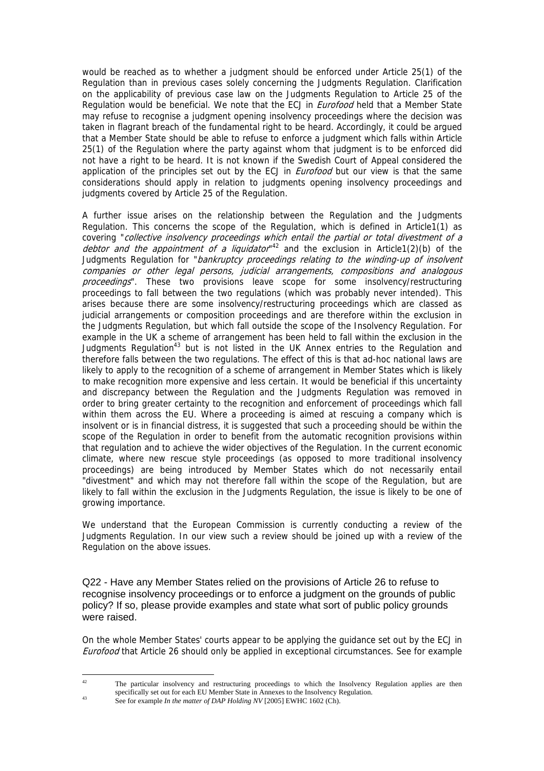would be reached as to whether a judgment should be enforced under Article 25(1) of the Regulation than in previous cases solely concerning the Judgments Regulation. Clarification on the applicability of previous case law on the Judgments Regulation to Article 25 of the Regulation would be beneficial. We note that the ECJ in *Eurofood* held that a Member State may refuse to recognise a judgment opening insolvency proceedings where the decision was taken in flagrant breach of the fundamental right to be heard. Accordingly, it could be argued that a Member State should be able to refuse to enforce a judgment which falls within Article 25(1) of the Regulation where the party against whom that judgment is to be enforced did not have a right to be heard. It is not known if the Swedish Court of Appeal considered the application of the principles set out by the ECJ in *Eurofood* but our view is that the same considerations should apply in relation to judgments opening insolvency proceedings and judgments covered by Article 25 of the Regulation.

A further issue arises on the relationship between the Regulation and the Judgments Regulation. This concerns the scope of the Regulation, which is defined in Article1(1) as covering "collective insolvency proceedings which entail the partial or total divestment of a debtor and the appointment of a liquidator<sup>42</sup> and the exclusion in Article1(2)(b) of the Judgments Regulation for "*bankruptcy proceedings relating to the winding-up of insolvent* companies or other legal persons, judicial arrangements, compositions and analogous proceedings". These two provisions leave scope for some insolvency/restructuring proceedings to fall between the two regulations (which was probably never intended). This arises because there are some insolvency/restructuring proceedings which are classed as judicial arrangements or composition proceedings and are therefore within the exclusion in the Judgments Regulation, but which fall outside the scope of the Insolvency Regulation. For example in the UK a scheme of arrangement has been held to fall within the exclusion in the Judgments Regulation<sup>43</sup> but is not listed in the UK Annex entries to the Regulation and therefore falls between the two regulations. The effect of this is that ad-hoc national laws are likely to apply to the recognition of a scheme of arrangement in Member States which is likely to make recognition more expensive and less certain. It would be beneficial if this uncertainty and discrepancy between the Regulation and the Judgments Regulation was removed in order to bring greater certainty to the recognition and enforcement of proceedings which fall within them across the EU. Where a proceeding is aimed at rescuing a company which is insolvent or is in financial distress, it is suggested that such a proceeding should be within the scope of the Regulation in order to benefit from the automatic recognition provisions within that regulation and to achieve the wider objectives of the Regulation. In the current economic climate, where new rescue style proceedings (as opposed to more traditional insolvency proceedings) are being introduced by Member States which do not necessarily entail "divestment" and which may not therefore fall within the scope of the Regulation, but are likely to fall within the exclusion in the Judgments Regulation, the issue is likely to be one of growing importance.

We understand that the European Commission is currently conducting a review of the Judgments Regulation. In our view such a review should be joined up with a review of the Regulation on the above issues.

Q22 - Have any Member States relied on the provisions of Article 26 to refuse to recognise insolvency proceedings or to enforce a judgment on the grounds of public policy? If so, please provide examples and state what sort of public policy grounds were raised.

On the whole Member States' courts appear to be applying the guidance set out by the ECJ in **Eurofood that Article 26 should only be applied in exceptional circumstances. See for example** 

<span id="page-19-0"></span> $42$ The particular insolvency and restructuring proceedings to which the Insolvency Regulation applies are then specifically set out for each EU Member State in Annexes to the Insolvency Regulation.<br>See for example *In the matter of DAP Holding NV* [2005] EWHC 1602 (Ch).

<span id="page-19-1"></span>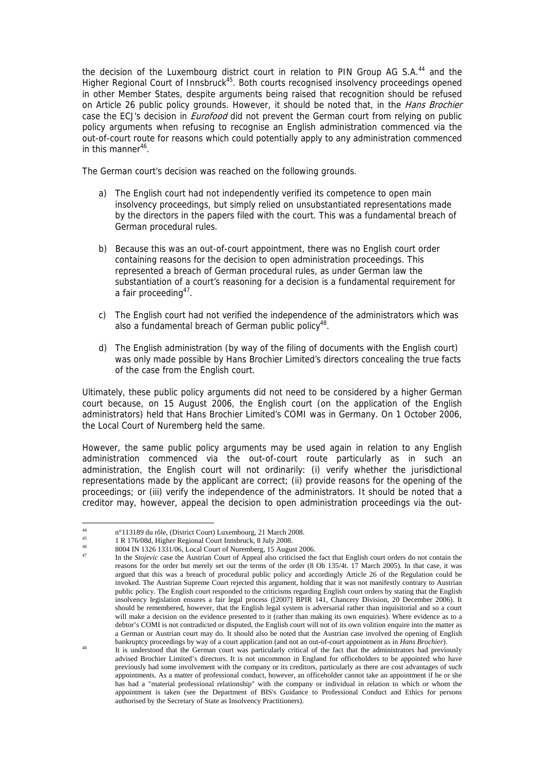the decision of the Luxembourg district court in relation to PIN Group AG S.A.<sup>44</sup> and the Higher Regional Court of Innsbruck[45.](#page-20-1) Both courts recognised insolvency proceedings opened in other Member States, despite arguments being raised that recognition should be refused on Article 26 public policy grounds. However, it should be noted that, in the Hans Brochier case the ECJ's decision in *Eurofood* did not prevent the German court from relying on public policy arguments when refusing to recognise an English administration commenced via the out-of-court route for reasons which could potentially apply to any administration commenced in this manner<sup>46</sup>.

The German court's decision was reached on the following grounds.

- a) The English court had not independently verified its competence to open main insolvency proceedings, but simply relied on unsubstantiated representations made by the directors in the papers filed with the court. This was a fundamental breach of German procedural rules.
- b) Because this was an out-of-court appointment, there was no English court order containing reasons for the decision to open administration proceedings. This represented a breach of German procedural rules, as under German law the substantiation of a court's reasoning for a decision is a fundamental requirement for a fair proceeding<sup>47</sup>.
- c) The English court had not verified the independence of the administrators which was also a fundamental breach of German public policy<sup>48</sup>.
- d) The English administration (by way of the filing of documents with the English court) was only made possible by Hans Brochier Limited's directors concealing the true facts of the case from the English court.

Ultimately, these public policy arguments did not need to be considered by a higher German court because, on 15 August 2006, the English court (on the application of the English administrators) held that Hans Brochier Limited's COMI was in Germany. On 1 October 2006, the Local Court of Nuremberg held the same.

However, the same public policy arguments may be used again in relation to any English administration commenced via the out-of-court route particularly as in such an administration, the English court will not ordinarily: (i) verify whether the jurisdictional representations made by the applicant are correct; (ii) provide reasons for the opening of the proceedings; or (iii) verify the independence of the administrators. It should be noted that a creditor may, however, appeal the decision to open administration proceedings via the out-

<span id="page-20-0"></span> $\overline{44}$ <sup>44</sup> n°113189 du rôle, (District Court) Luxembourg, 21 March 2008.<br> $\frac{45}{2}$  n  $\frac{176}{0.03}$  Higher Regional Grupt Inschnedia 8 July 2009.

<span id="page-20-1"></span><sup>&</sup>lt;sup>45</sup> 1 R 176/08d, Higher Regional Court Innsbruck, 8 July 2008.

<span id="page-20-2"></span><sup>46 8004</sup> IN 1326 1331/06, Local Court of Nuremberg, 15 August 2006.

<span id="page-20-3"></span>In the *Stojevic* case the Austrian Court of Appeal also criticised the fact that English court orders do not contain the reasons for the order but merely set out the terms of the order (8 Ob 135/4t. 17 March 2005). In that case, it was argued that this was a breach of procedural public policy and accordingly Article 26 of the Regulation could be invoked. The Austrian Supreme Court rejected this argument, holding that it was not manifestly contrary to Austrian public policy. The English court responded to the criticisms regarding English court orders by stating that the English insolvency legislation ensures a fair legal process ([2007] BPIR 141, Chancery Division, 20 December 2006). It should be remembered, however, that the English legal system is adversarial rather than inquisitorial and so a court will make a decision on the evidence presented to it (rather than making its own enquiries). Where evidence as to a debtor's COMI is not contradicted or disputed, the English court will not of its own volition enquire into the matter as a German or Austrian court may do. It should also be noted that the Austrian case involved the opening of English

<span id="page-20-4"></span>bankruptcy proceedings by way of a court application (and not an out-of-court appointment as in *Hans Brochier*).<br>It is understood that the German court was particularly critical of the fact that the administrators had pre advised Brochier Limited's directors. It is not uncommon in England for officeholders to be appointed who have previously had some involvement with the company or its creditors, particularly as there are cost advantages of such appointments. As a matter of professional conduct, however, an officeholder cannot take an appointment if he or she has had a "material professional relationship" with the company or individual in relation to which or whom the appointment is taken (see the Department of BIS's Guidance to Professional Conduct and Ethics for persons authorised by the Secretary of State as Insolvency Practitioners).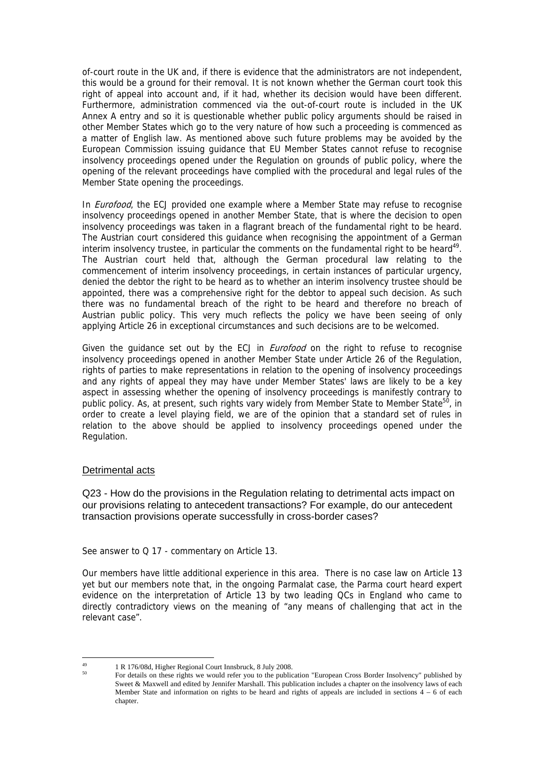of-court route in the UK and, if there is evidence that the administrators are not independent, this would be a ground for their removal. It is not known whether the German court took this right of appeal into account and, if it had, whether its decision would have been different. Furthermore, administration commenced via the out-of-court route is included in the UK Annex A entry and so it is questionable whether public policy arguments should be raised in other Member States which go to the very nature of how such a proceeding is commenced as a matter of English law. As mentioned above such future problems may be avoided by the European Commission issuing guidance that EU Member States cannot refuse to recognise insolvency proceedings opened under the Regulation on grounds of public policy, where the opening of the relevant proceedings have complied with the procedural and legal rules of the Member State opening the proceedings.

In *Eurofood*, the ECJ provided one example where a Member State may refuse to recognise insolvency proceedings opened in another Member State, that is where the decision to open insolvency proceedings was taken in a flagrant breach of the fundamental right to be heard. The Austrian court considered this guidance when recognising the appointment of a German interim insolvency trustee, in particular the comments on the fundamental right to be heard<sup>49</sup>. The Austrian court held that, although the German procedural law relating to the commencement of interim insolvency proceedings, in certain instances of particular urgency, denied the debtor the right to be heard as to whether an interim insolvency trustee should be appointed, there was a comprehensive right for the debtor to appeal such decision. As such there was no fundamental breach of the right to be heard and therefore no breach of Austrian public policy. This very much reflects the policy we have been seeing of only applying Article 26 in exceptional circumstances and such decisions are to be welcomed.

Given the guidance set out by the ECJ in *Eurofood* on the right to refuse to recognise insolvency proceedings opened in another Member State under Article 26 of the Regulation, rights of parties to make representations in relation to the opening of insolvency proceedings and any rights of appeal they may have under Member States' laws are likely to be a key aspect in assessing whether the opening of insolvency proceedings is manifestly contrary to public policy. As, at present, such rights vary widely from Member State to Member State<sup>50</sup>, in order to create a level playing field, we are of the opinion that a standard set of rules in relation to the above should be applied to insolvency proceedings opened under the Regulation.

## Detrimental acts

Q23 - How do the provisions in the Regulation relating to detrimental acts impact on our provisions relating to antecedent transactions? For example, do our antecedent transaction provisions operate successfully in cross-border cases?

See answer to Q 17 - commentary on Article 13.

Our members have little additional experience in this area. There is no case law on Article 13 yet but our members note that, in the ongoing Parmalat case, the Parma court heard expert evidence on the interpretation of Article 13 by two leading QCs in England who came to directly contradictory views on the meaning of "any means of challenging that act in the relevant case".

<span id="page-21-0"></span> $49$ 49 1 R 176/08d, Higher Regional Court Innsbruck, 8 July 2008.

<span id="page-21-1"></span><sup>50</sup> For details on these rights we would refer you to the publication "European Cross Border Insolvency" published by Sweet & Maxwell and edited by Jennifer Marshall. This publication includes a chapter on the insolvency laws of each Member State and information on rights to be heard and rights of appeals are included in sections  $4 - 6$  of each chapter.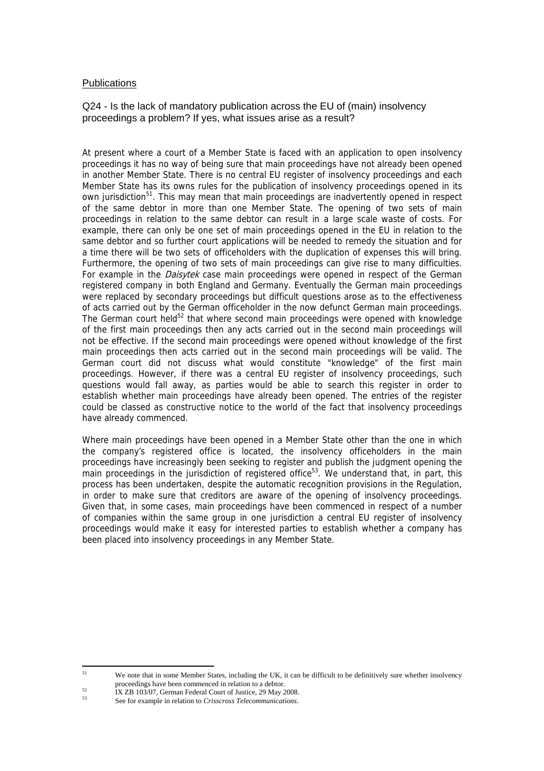## **Publications**

Q24 - Is the lack of mandatory publication across the EU of (main) insolvency proceedings a problem? If yes, what issues arise as a result?

At present where a court of a Member State is faced with an application to open insolvency proceedings it has no way of being sure that main proceedings have not already been opened in another Member State. There is no central EU register of insolvency proceedings and each Member State has its owns rules for the publication of insolvency proceedings opened in its own jurisdiction<sup>51</sup>. This may mean that main proceedings are inadvertently opened in respect of the same debtor in more than one Member State. The opening of two sets of main proceedings in relation to the same debtor can result in a large scale waste of costs. For example, there can only be one set of main proceedings opened in the EU in relation to the same debtor and so further court applications will be needed to remedy the situation and for a time there will be two sets of officeholders with the duplication of expenses this will bring. Furthermore, the opening of two sets of main proceedings can give rise to many difficulties. For example in the *Daisytek* case main proceedings were opened in respect of the German registered company in both England and Germany. Eventually the German main proceedings were replaced by secondary proceedings but difficult questions arose as to the effectiveness of acts carried out by the German officeholder in the now defunct German main proceedings. The German court held<sup>52</sup> that where second main proceedings were opened with knowledge of the first main proceedings then any acts carried out in the second main proceedings will not be effective. If the second main proceedings were opened without knowledge of the first main proceedings then acts carried out in the second main proceedings will be valid. The German court did not discuss what would constitute "knowledge" of the first main proceedings. However, if there was a central EU register of insolvency proceedings, such questions would fall away, as parties would be able to search this register in order to establish whether main proceedings have already been opened. The entries of the register could be classed as constructive notice to the world of the fact that insolvency proceedings have already commenced.

Where main proceedings have been opened in a Member State other than the one in which the company's registered office is located, the insolvency officeholders in the main proceedings have increasingly been seeking to register and publish the judgment opening the main proceedings in the jurisdiction of registered office<sup>53</sup>. We understand that, in part, this process has been undertaken, despite the automatic recognition provisions in the Regulation, in order to make sure that creditors are aware of the opening of insolvency proceedings. Given that, in some cases, main proceedings have been commenced in respect of a number of companies within the same group in one jurisdiction a central EU register of insolvency proceedings would make it easy for interested parties to establish whether a company has been placed into insolvency proceedings in any Member State.

<span id="page-22-0"></span> $51$ We note that in some Member States, including the UK, it can be difficult to be definitively sure whether insolvency

<span id="page-22-1"></span>proceedings have been commenced in relation to a debtor.<br>IX ZB 103/07, German Federal Court of Justice, 29 May 2008.

<span id="page-22-2"></span><sup>53</sup> See for example in relation to *Crisscross Telecommunications*.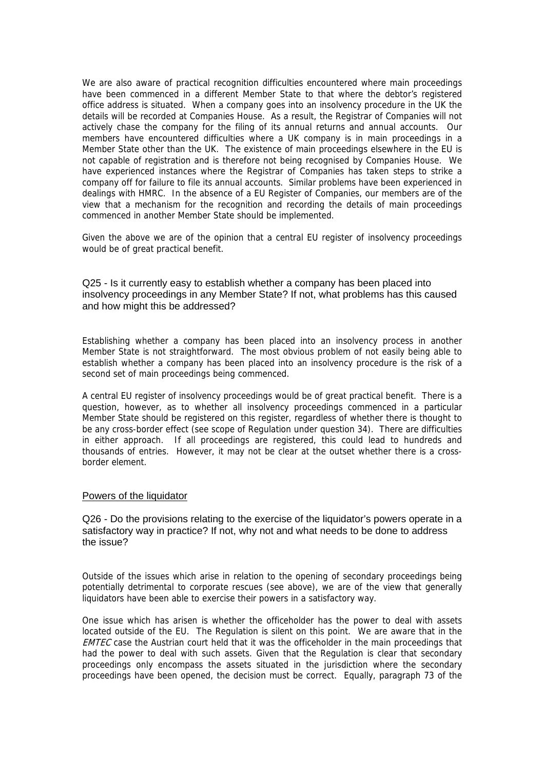We are also aware of practical recognition difficulties encountered where main proceedings have been commenced in a different Member State to that where the debtor's registered office address is situated. When a company goes into an insolvency procedure in the UK the details will be recorded at Companies House. As a result, the Registrar of Companies will not actively chase the company for the filing of its annual returns and annual accounts. Our members have encountered difficulties where a UK company is in main proceedings in a Member State other than the UK. The existence of main proceedings elsewhere in the EU is not capable of registration and is therefore not being recognised by Companies House. We have experienced instances where the Registrar of Companies has taken steps to strike a company off for failure to file its annual accounts. Similar problems have been experienced in dealings with HMRC. In the absence of a EU Register of Companies, our members are of the view that a mechanism for the recognition and recording the details of main proceedings commenced in another Member State should be implemented.

Given the above we are of the opinion that a central EU register of insolvency proceedings would be of great practical benefit.

Q25 - Is it currently easy to establish whether a company has been placed into insolvency proceedings in any Member State? If not, what problems has this caused and how might this be addressed?

Establishing whether a company has been placed into an insolvency process in another Member State is not straightforward. The most obvious problem of not easily being able to establish whether a company has been placed into an insolvency procedure is the risk of a second set of main proceedings being commenced.

A central EU register of insolvency proceedings would be of great practical benefit. There is a question, however, as to whether all insolvency proceedings commenced in a particular Member State should be registered on this register, regardless of whether there is thought to be any cross-border effect (see scope of Regulation under question 34). There are difficulties in either approach. If all proceedings are registered, this could lead to hundreds and thousands of entries. However, it may not be clear at the outset whether there is a crossborder element.

#### Powers of the liquidator

Q26 - Do the provisions relating to the exercise of the liquidator's powers operate in a satisfactory way in practice? If not, why not and what needs to be done to address the issue?

Outside of the issues which arise in relation to the opening of secondary proceedings being potentially detrimental to corporate rescues (see above), we are of the view that generally liquidators have been able to exercise their powers in a satisfactory way.

One issue which has arisen is whether the officeholder has the power to deal with assets located outside of the EU. The Regulation is silent on this point. We are aware that in the **EMTEC** case the Austrian court held that it was the officeholder in the main proceedings that had the power to deal with such assets. Given that the Regulation is clear that secondary proceedings only encompass the assets situated in the jurisdiction where the secondary proceedings have been opened, the decision must be correct. Equally, paragraph 73 of the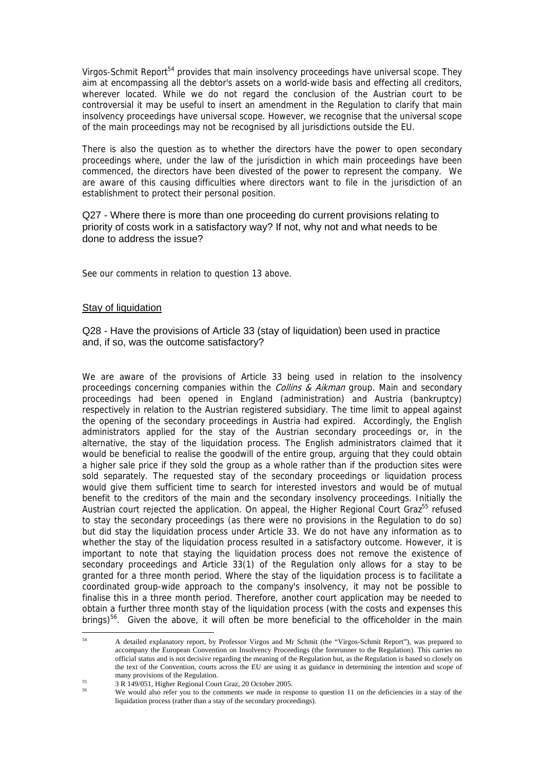Virgos-Schmit Report<sup>54</sup> provides that main insolvency proceedings have universal scope. They aim at encompassing all the debtor's assets on a world-wide basis and effecting all creditors, wherever located. While we do not regard the conclusion of the Austrian court to be controversial it may be useful to insert an amendment in the Regulation to clarify that main insolvency proceedings have universal scope. However, we recognise that the universal scope of the main proceedings may not be recognised by all jurisdictions outside the EU.

There is also the question as to whether the directors have the power to open secondary proceedings where, under the law of the jurisdiction in which main proceedings have been commenced, the directors have been divested of the power to represent the company. We are aware of this causing difficulties where directors want to file in the jurisdiction of an establishment to protect their personal position.

Q27 - Where there is more than one proceeding do current provisions relating to priority of costs work in a satisfactory way? If not, why not and what needs to be done to address the issue?

See our comments in relation to question 13 above.

## Stay of liquidation

Q28 - Have the provisions of Article 33 (stay of liquidation) been used in practice and, if so, was the outcome satisfactory?

We are aware of the provisions of Article 33 being used in relation to the insolvency proceedings concerning companies within the *Collins & Aikman* group. Main and secondary proceedings had been opened in England (administration) and Austria (bankruptcy) respectively in relation to the Austrian registered subsidiary. The time limit to appeal against the opening of the secondary proceedings in Austria had expired. Accordingly, the English administrators applied for the stay of the Austrian secondary proceedings or, in the alternative, the stay of the liquidation process. The English administrators claimed that it would be beneficial to realise the goodwill of the entire group, arguing that they could obtain a higher sale price if they sold the group as a whole rather than if the production sites were sold separately. The requested stay of the secondary proceedings or liquidation process would give them sufficient time to search for interested investors and would be of mutual benefit to the creditors of the main and the secondary insolvency proceedings. Initially the Austrian court rejected the application. On appeal, the Higher Regional Court Graz<sup>55</sup> refused to stay the secondary proceedings (as there were no provisions in the Regulation to do so) but did stay the liquidation process under Article 33. We do not have any information as to whether the stay of the liquidation process resulted in a satisfactory outcome. However, it is important to note that staying the liquidation process does not remove the existence of secondary proceedings and Article 33(1) of the Regulation only allows for a stay to be granted for a three month period. Where the stay of the liquidation process is to facilitate a coordinated group-wide approach to the company's insolvency, it may not be possible to finalise this in a three month period. Therefore, another court application may be needed to obtain a further three month stay of the liquidation process (with the costs and expenses this brings)<sup>56</sup>. Given the above, it will often be more beneficial to the officeholder in the main

<span id="page-24-0"></span> $54$ 54 A detailed explanatory report, by Professor Virgos and Mr Schmit (the "Virgos-Schmit Report"), was prepared to accompany the European Convention on Insolvency Proceedings (the forerunner to the Regulation). This carries no official status and is not decisive regarding the meaning of the Regulation but, as the Regulation is based so closely on the text of the Convention, courts across the EU are using it as guidance in determining the intention and scope of many provisions of the Regulation.

<span id="page-24-1"></span><sup>&</sup>lt;sup>55</sup> 3 R 149/051, Higher Regional Court Graz, 20 October 2005.

<span id="page-24-2"></span>We would also refer you to the comments we made in response to question 11 on the deficiencies in a stay of the liquidation process (rather than a stay of the secondary proceedings).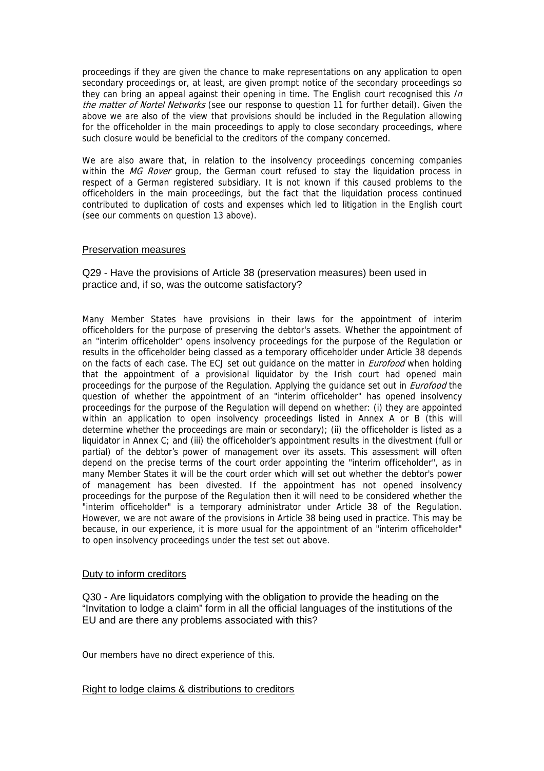proceedings if they are given the chance to make representations on any application to open secondary proceedings or, at least, are given prompt notice of the secondary proceedings so they can bring an appeal against their opening in time. The English court recognised this In the matter of Nortel Networks (see our response to question 11 for further detail). Given the above we are also of the view that provisions should be included in the Regulation allowing for the officeholder in the main proceedings to apply to close secondary proceedings, where such closure would be beneficial to the creditors of the company concerned.

We are also aware that, in relation to the insolvency proceedings concerning companies within the MG Rover group, the German court refused to stay the liquidation process in respect of a German registered subsidiary. It is not known if this caused problems to the officeholders in the main proceedings, but the fact that the liquidation process continued contributed to duplication of costs and expenses which led to litigation in the English court (see our comments on question 13 above).

### Preservation measures

## Q29 - Have the provisions of Article 38 (preservation measures) been used in practice and, if so, was the outcome satisfactory?

Many Member States have provisions in their laws for the appointment of interim officeholders for the purpose of preserving the debtor's assets. Whether the appointment of an "interim officeholder" opens insolvency proceedings for the purpose of the Regulation or results in the officeholder being classed as a temporary officeholder under Article 38 depends on the facts of each case. The ECJ set out guidance on the matter in *Eurofood* when holding that the appointment of a provisional liquidator by the Irish court had opened main proceedings for the purpose of the Regulation. Applying the guidance set out in *Eurofood* the question of whether the appointment of an "interim officeholder" has opened insolvency proceedings for the purpose of the Regulation will depend on whether: (i) they are appointed within an application to open insolvency proceedings listed in Annex A or B (this will determine whether the proceedings are main or secondary); (ii) the officeholder is listed as a liquidator in Annex C; and (iii) the officeholder's appointment results in the divestment (full or partial) of the debtor's power of management over its assets. This assessment will often depend on the precise terms of the court order appointing the "interim officeholder", as in many Member States it will be the court order which will set out whether the debtor's power of management has been divested. If the appointment has not opened insolvency proceedings for the purpose of the Regulation then it will need to be considered whether the "interim officeholder" is a temporary administrator under Article 38 of the Regulation. However, we are not aware of the provisions in Article 38 being used in practice. This may be because, in our experience, it is more usual for the appointment of an "interim officeholder" to open insolvency proceedings under the test set out above.

## Duty to inform creditors

Q30 - Are liquidators complying with the obligation to provide the heading on the "Invitation to lodge a claim" form in all the official languages of the institutions of the EU and are there any problems associated with this?

Our members have no direct experience of this.

## Right to lodge claims & distributions to creditors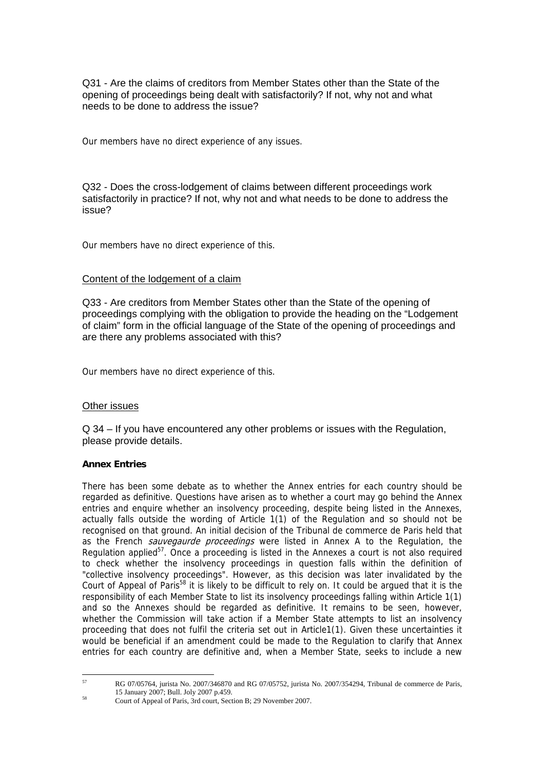Q31 - Are the claims of creditors from Member States other than the State of the opening of proceedings being dealt with satisfactorily? If not, why not and what needs to be done to address the issue?

Our members have no direct experience of any issues.

Q32 - Does the cross-lodgement of claims between different proceedings work satisfactorily in practice? If not, why not and what needs to be done to address the issue?

Our members have no direct experience of this.

## Content of the lodgement of a claim

Q33 - Are creditors from Member States other than the State of the opening of proceedings complying with the obligation to provide the heading on the "Lodgement of claim" form in the official language of the State of the opening of proceedings and are there any problems associated with this?

Our members have no direct experience of this.

## Other issues

Q 34 – If you have encountered any other problems or issues with the Regulation, please provide details.

## **Annex Entries**

There has been some debate as to whether the Annex entries for each country should be regarded as definitive. Questions have arisen as to whether a court may go behind the Annex entries and enquire whether an insolvency proceeding, despite being listed in the Annexes, actually falls outside the wording of Article 1(1) of the Regulation and so should not be recognised on that ground. An initial decision of the Tribunal de commerce de Paris held that as the French *sauvegaurde proceedings* were listed in Annex A to the Regulation, the Regulation applied<sup>57</sup>. Once a proceeding is listed in the Annexes a court is not also required to check whether the insolvency proceedings in question falls within the definition of "collective insolvency proceedings". However, as this decision was later invalidated by the Court of Appeal of Paris[58](#page-26-1) it is likely to be difficult to rely on. It could be argued that it is the responsibility of each Member State to list its insolvency proceedings falling within Article 1(1) and so the Annexes should be regarded as definitive. It remains to be seen, however, whether the Commission will take action if a Member State attempts to list an insolvency proceeding that does not fulfil the criteria set out in Article1(1). Given these uncertainties it would be beneficial if an amendment could be made to the Regulation to clarify that Annex entries for each country are definitive and, when a Member State, seeks to include a new

 $57$ 

<span id="page-26-0"></span><sup>57</sup> RG 07/05764, jurista No. 2007/346870 and RG 07/05752, jurista No. 2007/354294, Tribunal de commerce de Paris, <sup>58</sup> 15 January 2007; Bull. Joly 2007 p.459.<br>
58 Court of Appeal of Paris, 3rd court, Section B; 29 November 2007.

<span id="page-26-1"></span>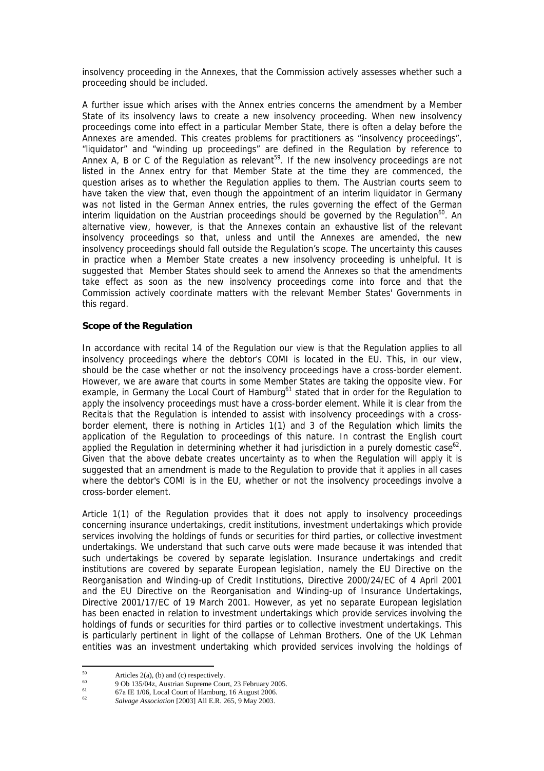insolvency proceeding in the Annexes, that the Commission actively assesses whether such a proceeding should be included.

A further issue which arises with the Annex entries concerns the amendment by a Member State of its insolvency laws to create a new insolvency proceeding. When new insolvency proceedings come into effect in a particular Member State, there is often a delay before the Annexes are amended. This creates problems for practitioners as "insolvency proceedings", "liquidator" and "winding up proceedings" are defined in the Regulation by reference to Annex A, B or C of the Regulation as relevant<sup>59</sup>. If the new insolvency proceedings are not listed in the Annex entry for that Member State at the time they are commenced, the question arises as to whether the Regulation applies to them. The Austrian courts seem to have taken the view that, even though the appointment of an interim liquidator in Germany was not listed in the German Annex entries, the rules governing the effect of the German interim liquidation on the Austrian proceedings should be governed by the Regulation<sup>60</sup>. An alternative view, however, is that the Annexes contain an exhaustive list of the relevant insolvency proceedings so that, unless and until the Annexes are amended, the new insolvency proceedings should fall outside the Regulation's scope. The uncertainty this causes in practice when a Member State creates a new insolvency proceeding is unhelpful. It is suggested that Member States should seek to amend the Annexes so that the amendments take effect as soon as the new insolvency proceedings come into force and that the Commission actively coordinate matters with the relevant Member States' Governments in this regard.

### **Scope of the Regulation**

In accordance with recital 14 of the Regulation our view is that the Regulation applies to all insolvency proceedings where the debtor's COMI is located in the EU. This, in our view, should be the case whether or not the insolvency proceedings have a cross-border element. However, we are aware that courts in some Member States are taking the opposite view. For example, in Germany the Local Court of Hamburg<sup>61</sup> stated that in order for the Regulation to apply the insolvency proceedings must have a cross-border element. While it is clear from the Recitals that the Regulation is intended to assist with insolvency proceedings with a crossborder element, there is nothing in Articles 1(1) and 3 of the Regulation which limits the application of the Regulation to proceedings of this nature. In contrast the English court applied the Regulation in determining whether it had jurisdiction in a purely domestic case<sup>62</sup>. Given that the above debate creates uncertainty as to when the Regulation will apply it is suggested that an amendment is made to the Regulation to provide that it applies in all cases where the debtor's COMI is in the EU, whether or not the insolvency proceedings involve a cross-border element.

Article 1(1) of the Regulation provides that it does not apply to insolvency proceedings concerning insurance undertakings, credit institutions, investment undertakings which provide services involving the holdings of funds or securities for third parties, or collective investment undertakings. We understand that such carve outs were made because it was intended that such undertakings be covered by separate legislation. Insurance undertakings and credit institutions are covered by separate European legislation, namely the EU Directive on the Reorganisation and Winding-up of Credit Institutions, Directive 2000/24/EC of 4 April 2001 and the EU Directive on the Reorganisation and Winding-up of Insurance Undertakings, Directive 2001/17/EC of 19 March 2001. However, as yet no separate European legislation has been enacted in relation to investment undertakings which provide services involving the holdings of funds or securities for third parties or to collective investment undertakings. This is particularly pertinent in light of the collapse of Lehman Brothers. One of the UK Lehman entities was an investment undertaking which provided services involving the holdings of

<span id="page-27-0"></span><sup>59</sup>  $59$  Articles 2(a), (b) and (c) respectively.

<span id="page-27-1"></span><sup>60 9</sup> Ob 135/04z, Austrian Supreme Court, 23 February 2005.

<span id="page-27-2"></span><sup>&</sup>lt;sup>61</sup> 62 67a IE 1/06, Local Court of Hamburg, 16 August 2006.

<span id="page-27-3"></span><sup>62</sup> *Salvage Association* [2003] All E.R. 265, 9 May 2003.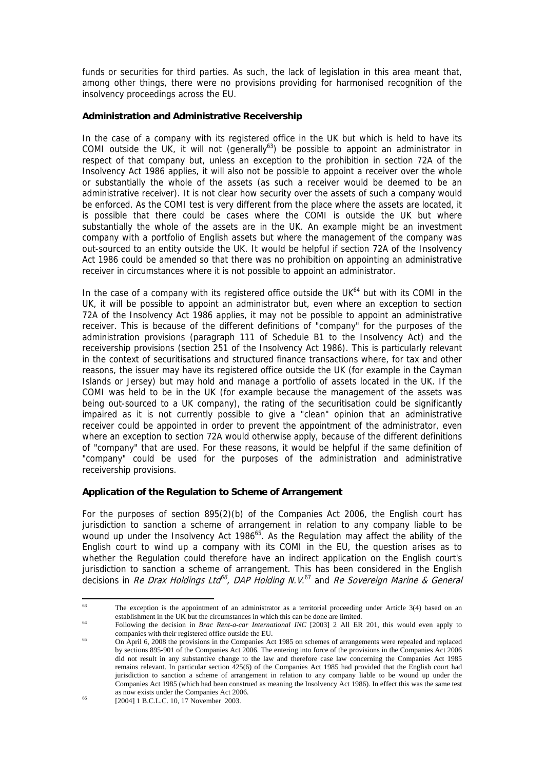funds or securities for third parties. As such, the lack of legislation in this area meant that, among other things, there were no provisions providing for harmonised recognition of the insolvency proceedings across the EU.

### **Administration and Administrative Receivership**

In the case of a company with its registered office in the UK but which is held to have its COMI outside the UK, it will not (generally<sup>63</sup>) be possible to appoint an administrator in respect of that company but, unless an exception to the prohibition in section 72A of the Insolvency Act 1986 applies, it will also not be possible to appoint a receiver over the whole or substantially the whole of the assets (as such a receiver would be deemed to be an administrative receiver). It is not clear how security over the assets of such a company would be enforced. As the COMI test is very different from the place where the assets are located, it is possible that there could be cases where the COMI is outside the UK but where substantially the whole of the assets are in the UK. An example might be an investment company with a portfolio of English assets but where the management of the company was out-sourced to an entity outside the UK. It would be helpful if section 72A of the Insolvency Act 1986 could be amended so that there was no prohibition on appointing an administrative receiver in circumstances where it is not possible to appoint an administrator.

In the case of a company with its registered office outside the UK $^{64}$  but with its COMI in the UK, it will be possible to appoint an administrator but, even where an exception to section 72A of the Insolvency Act 1986 applies, it may not be possible to appoint an administrative receiver. This is because of the different definitions of "company" for the purposes of the administration provisions (paragraph 111 of Schedule B1 to the Insolvency Act) and the receivership provisions (section 251 of the Insolvency Act 1986). This is particularly relevant in the context of securitisations and structured finance transactions where, for tax and other reasons, the issuer may have its registered office outside the UK (for example in the Cayman Islands or Jersey) but may hold and manage a portfolio of assets located in the UK. If the COMI was held to be in the UK (for example because the management of the assets was being out-sourced to a UK company), the rating of the securitisation could be significantly impaired as it is not currently possible to give a "clean" opinion that an administrative receiver could be appointed in order to prevent the appointment of the administrator, even where an exception to section 72A would otherwise apply, because of the different definitions of "company" that are used. For these reasons, it would be helpful if the same definition of "company" could be used for the purposes of the administration and administrative receivership provisions.

## **Application of the Regulation to Scheme of Arrangement**

For the purposes of section 895(2)(b) of the Companies Act 2006, the English court has jurisdiction to sanction a scheme of arrangement in relation to any company liable to be wound up under the Insolvency Act 1986<sup>65</sup>. As the Regulation may affect the ability of the English court to wind up a company with its COMI in the EU, the question arises as to whether the Regulation could therefore have an indirect application on the English court's jurisdiction to sanction a scheme of arrangement. This has been considered in the English decisions in Re Drax Holdings Lta<sup>[66](#page-28-3)</sup>, DAP Holding N.V.<sup>67</sup> and Re Sovereign Marine & General

<span id="page-28-0"></span><sup>63</sup> The exception is the appointment of an administrator as a territorial proceeding under Article 3(4) based on an establishment in the UK but the circumstances in which this can be done are limited.<br><sup>64</sup> Following the decision in *Brac Rent-a-car International INC* [2003] 2 All ER 201, this would even apply to

<span id="page-28-1"></span>companies with their registered office outside the EU.<br>65 On April 6, 2008 the provisions in the Companies Act 1985 on schemes of arrangements were repealed and replaced

<span id="page-28-4"></span><span id="page-28-3"></span><span id="page-28-2"></span>by sections 895-901 of the Companies Act 2006. The entering into force of the provisions in the Companies Act 2006 did not result in any substantive change to the law and therefore case law concerning the Companies Act 1985 remains relevant. In particular section 425(6) of the Companies Act 1985 had provided that the English court had jurisdiction to sanction a scheme of arrangement in relation to any company liable to be wound up under the Companies Act 1985 (which had been construed as meaning the Insolvency Act 1986). In effect this was the same test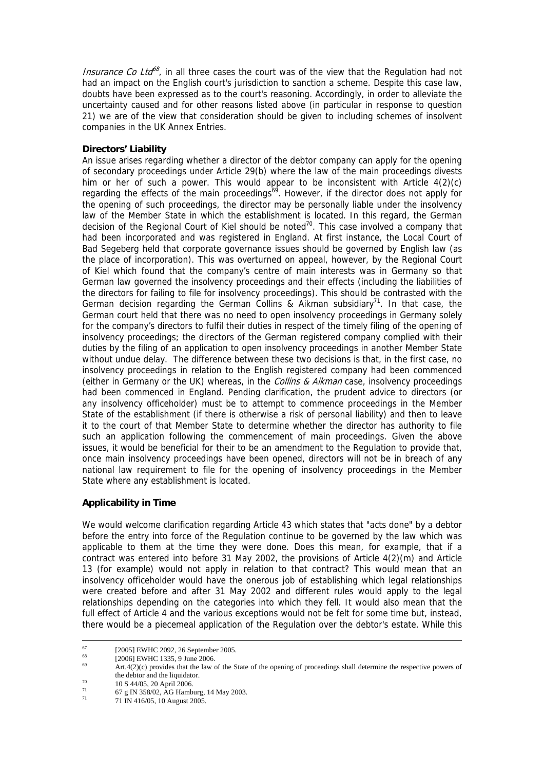*Insurance Co Ltd*<sup>8</sup>, in all three cases the court was of the view that the Regulation had not had an impact on the English court's jurisdiction to sanction a scheme. Despite this case law, doubts have been expressed as to the court's reasoning. Accordingly, in order to alleviate the uncertainty caused and for other reasons listed above (in particular in response to question 21) we are of the view that consideration should be given to including schemes of insolvent companies in the UK Annex Entries.

## **Directors' Liability**

An issue arises regarding whether a director of the debtor company can apply for the opening of secondary proceedings under Article 29(b) where the law of the main proceedings divests him or her of such a power. This would appear to be inconsistent with Article 4(2)(c) regarding the effects of the main proceedings<sup>69</sup>. However, if the director does not apply for the opening of such proceedings, the director may be personally liable under the insolvency law of the Member State in which the establishment is located. In this regard, the German decision of the Regional Court of Kiel should be noted<sup>70</sup>. This case involved a company that had been incorporated and was registered in England. At first instance, the Local Court of Bad Segeberg held that corporate governance issues should be governed by English law (as the place of incorporation). This was overturned on appeal, however, by the Regional Court of Kiel which found that the company's centre of main interests was in Germany so that German law governed the insolvency proceedings and their effects (including the liabilities of the directors for failing to file for insolvency proceedings). This should be contrasted with the German decision regarding the German Collins & Aikman subsidiary<sup>71</sup>. In that case, the German court held that there was no need to open insolvency proceedings in Germany solely for the company's directors to fulfil their duties in respect of the timely filing of the opening of insolvency proceedings; the directors of the German registered company complied with their duties by the filing of an application to open insolvency proceedings in another Member State without undue delay. The difference between these two decisions is that, in the first case, no insolvency proceedings in relation to the English registered company had been commenced (either in Germany or the UK) whereas, in the Collins & Aikman case, insolvency proceedings had been commenced in England. Pending clarification, the prudent advice to directors (or any insolvency officeholder) must be to attempt to commence proceedings in the Member State of the establishment (if there is otherwise a risk of personal liability) and then to leave it to the court of that Member State to determine whether the director has authority to file such an application following the commencement of main proceedings. Given the above issues, it would be beneficial for their to be an amendment to the Regulation to provide that, once main insolvency proceedings have been opened, directors will not be in breach of any national law requirement to file for the opening of insolvency proceedings in the Member State where any establishment is located.

# **Applicability in Time**

We would welcome clarification regarding Article 43 which states that "acts done" by a debtor before the entry into force of the Regulation continue to be governed by the law which was applicable to them at the time they were done. Does this mean, for example, that if a contract was entered into before 31 May 2002, the provisions of Article 4(2)(m) and Article 13 (for example) would not apply in relation to that contract? This would mean that an insolvency officeholder would have the onerous job of establishing which legal relationships were created before and after 31 May 2002 and different rules would apply to the legal relationships depending on the categories into which they fell. It would also mean that the full effect of Article 4 and the various exceptions would not be felt for some time but, instead, there would be a piecemeal application of the Regulation over the debtor's estate. While this

 $^{67}$  [2005] EWHC 2092, 26 September 2005.

<span id="page-29-0"></span><sup>&</sup>lt;sup>68</sup> [2006] EWHC 1335, 9 June 2006.

<span id="page-29-1"></span> $Art.4(2)(c)$  provides that the law of the State of the opening of proceedings shall determine the respective powers of the debtor and the liquidator.<br>
<sup>70</sup> 10 S 44/05, 20 April 2006.

<span id="page-29-2"></span>

<span id="page-29-3"></span> $^{71}$  67 g IN 358/02, AG Hamburg, 14 May 2003.

<sup>71 71</sup> IN 416/05, 10 August 2005.